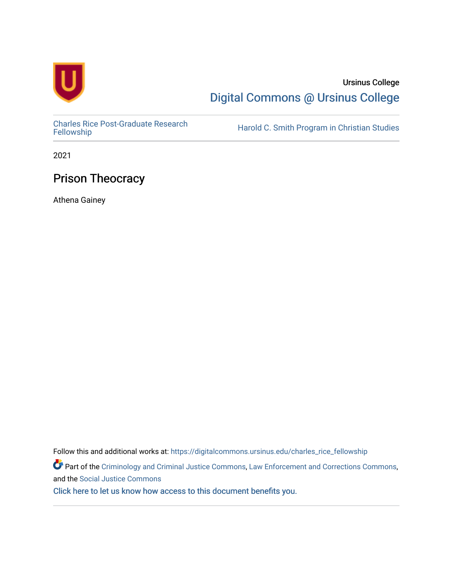

# Ursinus College [Digital Commons @ Ursinus College](https://digitalcommons.ursinus.edu/)

[Charles Rice Post-Graduate Research](https://digitalcommons.ursinus.edu/charles_rice_fellowship) 

Harold C. Smith Program in Christian Studies

2021

# Prison Theocracy

Athena Gainey

Follow this and additional works at: [https://digitalcommons.ursinus.edu/charles\\_rice\\_fellowship](https://digitalcommons.ursinus.edu/charles_rice_fellowship?utm_source=digitalcommons.ursinus.edu%2Fcharles_rice_fellowship%2F5&utm_medium=PDF&utm_campaign=PDFCoverPages) Part of the [Criminology and Criminal Justice Commons](http://network.bepress.com/hgg/discipline/367?utm_source=digitalcommons.ursinus.edu%2Fcharles_rice_fellowship%2F5&utm_medium=PDF&utm_campaign=PDFCoverPages), [Law Enforcement and Corrections Commons](http://network.bepress.com/hgg/discipline/854?utm_source=digitalcommons.ursinus.edu%2Fcharles_rice_fellowship%2F5&utm_medium=PDF&utm_campaign=PDFCoverPages), and the [Social Justice Commons](http://network.bepress.com/hgg/discipline/1432?utm_source=digitalcommons.ursinus.edu%2Fcharles_rice_fellowship%2F5&utm_medium=PDF&utm_campaign=PDFCoverPages) [Click here to let us know how access to this document benefits you.](https://ursinus.co1.qualtrics.com/jfe/form/SV_1RIyfqzdxsWfMQ5)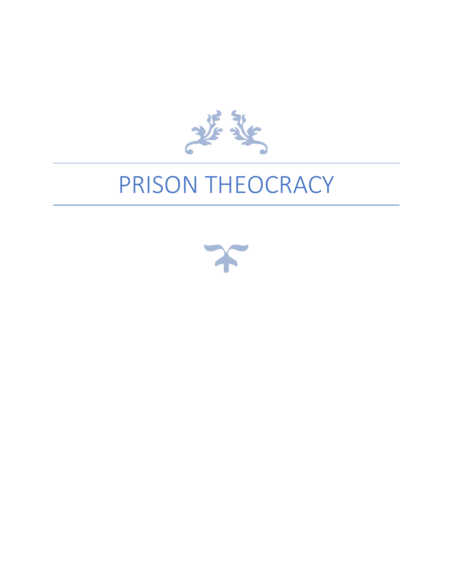

# PRISON THEOCRACY

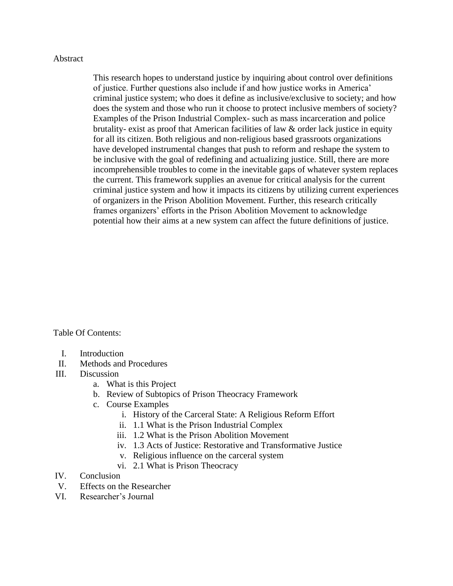#### Abstract

This research hopes to understand justice by inquiring about control over definitions of justice. Further questions also include if and how justice works in America' criminal justice system; who does it define as inclusive/exclusive to society; and how does the system and those who run it choose to protect inclusive members of society? Examples of the Prison Industrial Complex- such as mass incarceration and police brutality- exist as proof that American facilities of law & order lack justice in equity for all its citizen. Both religious and non-religious based grassroots organizations have developed instrumental changes that push to reform and reshape the system to be inclusive with the goal of redefining and actualizing justice. Still, there are more incomprehensible troubles to come in the inevitable gaps of whatever system replaces the current. This framework supplies an avenue for critical analysis for the current criminal justice system and how it impacts its citizens by utilizing current experiences of organizers in the Prison Abolition Movement. Further, this research critically frames organizers' efforts in the Prison Abolition Movement to acknowledge potential how their aims at a new system can affect the future definitions of justice.

Table Of Contents:

- I. Introduction
- II. Methods and Procedures
- III. Discussion
	- a. What is this Project
	- b. Review of Subtopics of Prison Theocracy Framework
	- c. Course Examples
		- i. History of the Carceral State: A Religious Reform Effort
		- ii. 1.1 What is the Prison Industrial Complex
		- iii. 1.2 What is the Prison Abolition Movement
		- iv. 1.3 Acts of Justice: Restorative and Transformative Justice
		- v. Religious influence on the carceral system
		- vi. 2.1 What is Prison Theocracy
- IV. Conclusion
- V. Effects on the Researcher
- VI. Researcher's Journal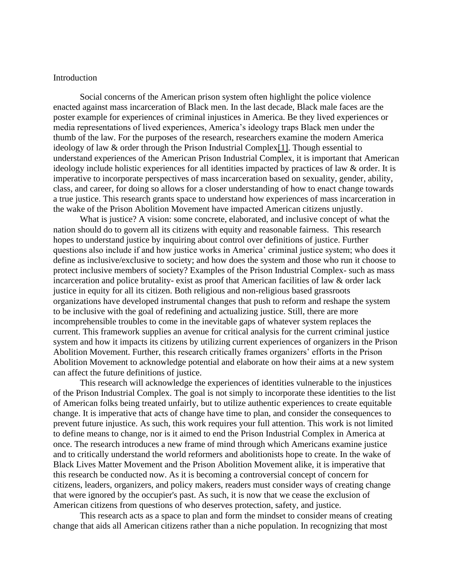#### Introduction

Social concerns of the American prison system often highlight the police violence enacted against mass incarceration of Black men. In the last decade, Black male faces are the poster example for experiences of criminal injustices in America. Be they lived experiences or media representations of lived experiences, America's ideology traps Black men under the thumb of the law. For the purposes of the research, researchers examine the modern America ideology of law & order through the Prison Industrial Comple[x\[1\].](https://d.docs.live.net/c52cb74380478f89/Business/Documents/Rice%20fellowship/Outline%20and%20Idea%20Walls/Project%20Overview_Intro.docx#_ftn1) Though essential to understand experiences of the American Prison Industrial Complex, it is important that American ideology include holistic experiences for all identities impacted by practices of law & order. It is imperative to incorporate perspectives of mass incarceration based on sexuality, gender, ability, class, and career, for doing so allows for a closer understanding of how to enact change towards a true justice. This research grants space to understand how experiences of mass incarceration in the wake of the Prison Abolition Movement have impacted American citizens unjustly.

What is justice? A vision: some concrete, elaborated, and inclusive concept of what the nation should do to govern all its citizens with equity and reasonable fairness. This research hopes to understand justice by inquiring about control over definitions of justice. Further questions also include if and how justice works in America' criminal justice system; who does it define as inclusive/exclusive to society; and how does the system and those who run it choose to protect inclusive members of society? Examples of the Prison Industrial Complex- such as mass incarceration and police brutality- exist as proof that American facilities of law & order lack justice in equity for all its citizen. Both religious and non-religious based grassroots organizations have developed instrumental changes that push to reform and reshape the system to be inclusive with the goal of redefining and actualizing justice. Still, there are more incomprehensible troubles to come in the inevitable gaps of whatever system replaces the current. This framework supplies an avenue for critical analysis for the current criminal justice system and how it impacts its citizens by utilizing current experiences of organizers in the Prison Abolition Movement. Further, this research critically frames organizers' efforts in the Prison Abolition Movement to acknowledge potential and elaborate on how their aims at a new system can affect the future definitions of justice.

This research will acknowledge the experiences of identities vulnerable to the injustices of the Prison Industrial Complex. The goal is not simply to incorporate these identities to the list of American folks being treated unfairly, but to utilize authentic experiences to create equitable change. It is imperative that acts of change have time to plan, and consider the consequences to prevent future injustice. As such, this work requires your full attention. This work is not limited to define means to change, nor is it aimed to end the Prison Industrial Complex in America at once. The research introduces a new frame of mind through which Americans examine justice and to critically understand the world reformers and abolitionists hope to create. In the wake of Black Lives Matter Movement and the Prison Abolition Movement alike, it is imperative that this research be conducted now. As it is becoming a controversial concept of concern for citizens, leaders, organizers, and policy makers, readers must consider ways of creating change that were ignored by the occupier's past. As such, it is now that we cease the exclusion of American citizens from questions of who deserves protection, safety, and justice.

This research acts as a space to plan and form the mindset to consider means of creating change that aids all American citizens rather than a niche population. In recognizing that most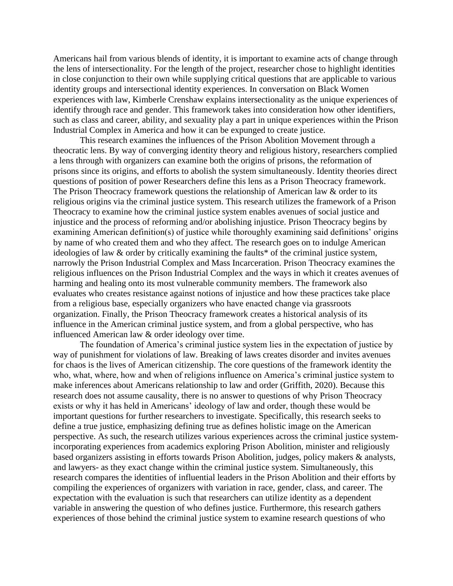Americans hail from various blends of identity, it is important to examine acts of change through the lens of intersectionality. For the length of the project, researcher chose to highlight identities in close conjunction to their own while supplying critical questions that are applicable to various identity groups and intersectional identity experiences. In conversation on Black Women experiences with law, Kimberle Crenshaw explains intersectionality as the unique experiences of identify through race and gender. This framework takes into consideration how other identifiers, such as class and career, ability, and sexuality play a part in unique experiences within the Prison Industrial Complex in America and how it can be expunged to create justice.

This research examines the influences of the Prison Abolition Movement through a theocratic lens. By way of converging identity theory and religious history, researchers complied a lens through with organizers can examine both the origins of prisons, the reformation of prisons since its origins, and efforts to abolish the system simultaneously. Identity theories direct questions of position of power Researchers define this lens as a Prison Theocracy framework. The Prison Theocracy framework questions the relationship of American law & order to its religious origins via the criminal justice system. This research utilizes the framework of a Prison Theocracy to examine how the criminal justice system enables avenues of social justice and injustice and the process of reforming and/or abolishing injustice. Prison Theocracy begins by examining American definition(s) of justice while thoroughly examining said definitions' origins by name of who created them and who they affect. The research goes on to indulge American ideologies of law & order by critically examining the faults\* of the criminal justice system, narrowly the Prison Industrial Complex and Mass Incarceration. Prison Theocracy examines the religious influences on the Prison Industrial Complex and the ways in which it creates avenues of harming and healing onto its most vulnerable community members. The framework also evaluates who creates resistance against notions of injustice and how these practices take place from a religious base, especially organizers who have enacted change via grassroots organization. Finally, the Prison Theocracy framework creates a historical analysis of its influence in the American criminal justice system, and from a global perspective, who has influenced American law & order ideology over time.

The foundation of America's criminal justice system lies in the expectation of justice by way of punishment for violations of law. Breaking of laws creates disorder and invites avenues for chaos is the lives of American citizenship. The core questions of the framework identity the who, what, where, how and when of religions influence on America's criminal justice system to make inferences about Americans relationship to law and order (Griffith, 2020). Because this research does not assume causality, there is no answer to questions of why Prison Theocracy exists or why it has held in Americans' ideology of law and order, though these would be important questions for further researchers to investigate. Specifically, this research seeks to define a true justice, emphasizing defining true as defines holistic image on the American perspective. As such, the research utilizes various experiences across the criminal justice systemincorporating experiences from academics exploring Prison Abolition, minister and religiously based organizers assisting in efforts towards Prison Abolition, judges, policy makers & analysts, and lawyers- as they exact change within the criminal justice system. Simultaneously, this research compares the identities of influential leaders in the Prison Abolition and their efforts by compiling the experiences of organizers with variation in race, gender, class, and career. The expectation with the evaluation is such that researchers can utilize identity as a dependent variable in answering the question of who defines justice. Furthermore, this research gathers experiences of those behind the criminal justice system to examine research questions of who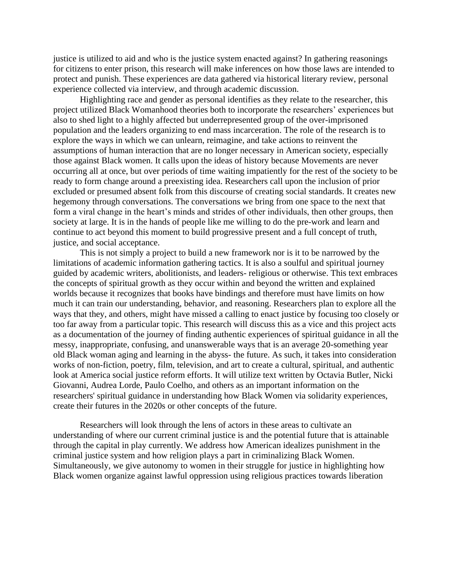justice is utilized to aid and who is the justice system enacted against? In gathering reasonings for citizens to enter prison, this research will make inferences on how those laws are intended to protect and punish. These experiences are data gathered via historical literary review, personal experience collected via interview, and through academic discussion.

Highlighting race and gender as personal identifies as they relate to the researcher, this project utilized Black Womanhood theories both to incorporate the researchers' experiences but also to shed light to a highly affected but underrepresented group of the over-imprisoned population and the leaders organizing to end mass incarceration. The role of the research is to explore the ways in which we can unlearn, reimagine, and take actions to reinvent the assumptions of human interaction that are no longer necessary in American society, especially those against Black women. It calls upon the ideas of history because Movements are never occurring all at once, but over periods of time waiting impatiently for the rest of the society to be ready to form change around a preexisting idea. Researchers call upon the inclusion of prior excluded or presumed absent folk from this discourse of creating social standards. It creates new hegemony through conversations. The conversations we bring from one space to the next that form a viral change in the heart's minds and strides of other individuals, then other groups, then society at large. It is in the hands of people like me willing to do the pre-work and learn and continue to act beyond this moment to build progressive present and a full concept of truth, justice, and social acceptance.

This is not simply a project to build a new framework nor is it to be narrowed by the limitations of academic information gathering tactics. It is also a soulful and spiritual journey guided by academic writers, abolitionists, and leaders- religious or otherwise. This text embraces the concepts of spiritual growth as they occur within and beyond the written and explained worlds because it recognizes that books have bindings and therefore must have limits on how much it can train our understanding, behavior, and reasoning. Researchers plan to explore all the ways that they, and others, might have missed a calling to enact justice by focusing too closely or too far away from a particular topic. This research will discuss this as a vice and this project acts as a documentation of the journey of finding authentic experiences of spiritual guidance in all the messy, inappropriate, confusing, and unanswerable ways that is an average 20-something year old Black woman aging and learning in the abyss- the future. As such, it takes into consideration works of non-fiction, poetry, film, television, and art to create a cultural, spiritual, and authentic look at America social justice reform efforts. It will utilize text written by Octavia Butler, Nicki Giovanni, Audrea Lorde, Paulo Coelho, and others as an important information on the researchers' spiritual guidance in understanding how Black Women via solidarity experiences, create their futures in the 2020s or other concepts of the future.

Researchers will look through the lens of actors in these areas to cultivate an understanding of where our current criminal justice is and the potential future that is attainable through the capital in play currently. We address how American idealizes punishment in the criminal justice system and how religion plays a part in criminalizing Black Women. Simultaneously, we give autonomy to women in their struggle for justice in highlighting how Black women organize against lawful oppression using religious practices towards liberation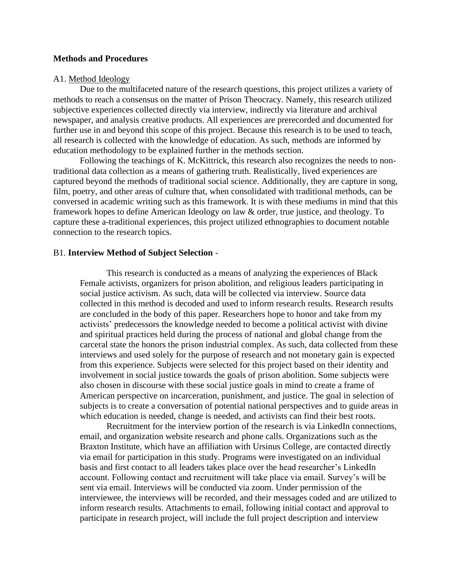#### **Methods and Procedures**

#### A1. Method Ideology

Due to the multifaceted nature of the research questions, this project utilizes a variety of methods to reach a consensus on the matter of Prison Theocracy. Namely, this research utilized subjective experiences collected directly via interview, indirectly via literature and archival newspaper, and analysis creative products. All experiences are prerecorded and documented for further use in and beyond this scope of this project. Because this research is to be used to teach, all research is collected with the knowledge of education. As such, methods are informed by education methodology to be explained further in the methods section.

Following the teachings of K. McKittrick, this research also recognizes the needs to nontraditional data collection as a means of gathering truth. Realistically, lived experiences are captured beyond the methods of traditional social science. Additionally, they are capture in song, film, poetry, and other areas of culture that, when consolidated with traditional methods, can be conversed in academic writing such as this framework. It is with these mediums in mind that this framework hopes to define American Ideology on law & order, true justice, and theology. To capture these a-traditional experiences, this project utilized ethnographies to document notable connection to the research topics.

#### B1. **Interview Method of Subject Selection** -

This research is conducted as a means of analyzing the experiences of Black Female activists, organizers for prison abolition, and religious leaders participating in social justice activism. As such, data will be collected via interview. Source data collected in this method is decoded and used to inform research results. Research results are concluded in the body of this paper. Researchers hope to honor and take from my activists' predecessors the knowledge needed to become a political activist with divine and spiritual practices held during the process of national and global change from the carceral state the honors the prison industrial complex. As such, data collected from these interviews and used solely for the purpose of research and not monetary gain is expected from this experience. Subjects were selected for this project based on their identity and involvement in social justice towards the goals of prison abolition. Some subjects were also chosen in discourse with these social justice goals in mind to create a frame of American perspective on incarceration, punishment, and justice. The goal in selection of subjects is to create a conversation of potential national perspectives and to guide areas in which education is needed, change is needed, and activists can find their best roots.

Recruitment for the interview portion of the research is via LinkedIn connections, email, and organization website research and phone calls. Organizations such as the Braxton Institute, which have an affiliation with Ursinus College, are contacted directly via email for participation in this study. Programs were investigated on an individual basis and first contact to all leaders takes place over the head researcher's LinkedIn account. Following contact and recruitment will take place via email. Survey's will be sent via email. Interviews will be conducted via zoom. Under permission of the interviewee, the interviews will be recorded, and their messages coded and are utilized to inform research results. Attachments to email, following initial contact and approval to participate in research project, will include the full project description and interview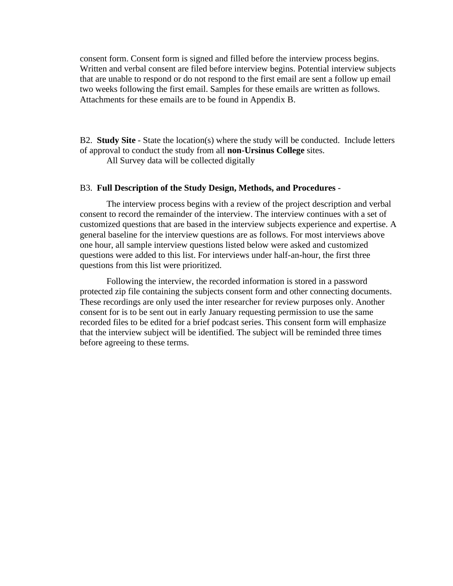consent form. Consent form is signed and filled before the interview process begins. Written and verbal consent are filed before interview begins. Potential interview subjects that are unable to respond or do not respond to the first email are sent a follow up email two weeks following the first email. Samples for these emails are written as follows. Attachments for these emails are to be found in Appendix B.

B2. **Study Site** - State the location(s) where the study will be conducted. Include letters of approval to conduct the study from all **non-Ursinus College** sites.

All Survey data will be collected digitally

#### B3. **Full Description of the Study Design, Methods, and Procedures** -

The interview process begins with a review of the project description and verbal consent to record the remainder of the interview. The interview continues with a set of customized questions that are based in the interview subjects experience and expertise. A general baseline for the interview questions are as follows. For most interviews above one hour, all sample interview questions listed below were asked and customized questions were added to this list. For interviews under half-an-hour, the first three questions from this list were prioritized.

Following the interview, the recorded information is stored in a password protected zip file containing the subjects consent form and other connecting documents. These recordings are only used the inter researcher for review purposes only. Another consent for is to be sent out in early January requesting permission to use the same recorded files to be edited for a brief podcast series. This consent form will emphasize that the interview subject will be identified. The subject will be reminded three times before agreeing to these terms.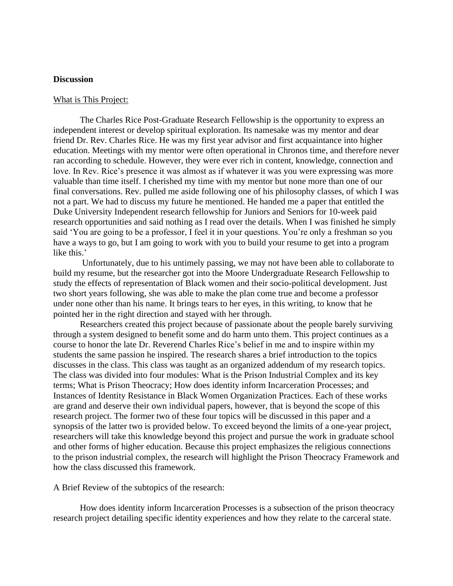#### **Discussion**

#### What is This Project:

The Charles Rice Post-Graduate Research Fellowship is the opportunity to express an independent interest or develop spiritual exploration. Its namesake was my mentor and dear friend Dr. Rev. Charles Rice. He was my first year advisor and first acquaintance into higher education. Meetings with my mentor were often operational in Chronos time, and therefore never ran according to schedule. However, they were ever rich in content, knowledge, connection and love. In Rev. Rice's presence it was almost as if whatever it was you were expressing was more valuable than time itself. I cherished my time with my mentor but none more than one of our final conversations. Rev. pulled me aside following one of his philosophy classes, of which I was not a part. We had to discuss my future he mentioned. He handed me a paper that entitled the Duke University Independent research fellowship for Juniors and Seniors for 10-week paid research opportunities and said nothing as I read over the details. When I was finished he simply said 'You are going to be a professor, I feel it in your questions. You're only a freshman so you have a ways to go, but I am going to work with you to build your resume to get into a program like this.'

Unfortunately, due to his untimely passing, we may not have been able to collaborate to build my resume, but the researcher got into the Moore Undergraduate Research Fellowship to study the effects of representation of Black women and their socio-political development. Just two short years following, she was able to make the plan come true and become a professor under none other than his name. It brings tears to her eyes, in this writing, to know that he pointed her in the right direction and stayed with her through.

Researchers created this project because of passionate about the people barely surviving through a system designed to benefit some and do harm unto them. This project continues as a course to honor the late Dr. Reverend Charles Rice's belief in me and to inspire within my students the same passion he inspired. The research shares a brief introduction to the topics discusses in the class. This class was taught as an organized addendum of my research topics. The class was divided into four modules: What is the Prison Industrial Complex and its key terms; What is Prison Theocracy; How does identity inform Incarceration Processes; and Instances of Identity Resistance in Black Women Organization Practices. Each of these works are grand and deserve their own individual papers, however, that is beyond the scope of this research project. The former two of these four topics will be discussed in this paper and a synopsis of the latter two is provided below. To exceed beyond the limits of a one-year project, researchers will take this knowledge beyond this project and pursue the work in graduate school and other forms of higher education. Because this project emphasizes the religious connections to the prison industrial complex, the research will highlight the Prison Theocracy Framework and how the class discussed this framework.

A Brief Review of the subtopics of the research:

How does identity inform Incarceration Processes is a subsection of the prison theocracy research project detailing specific identity experiences and how they relate to the carceral state.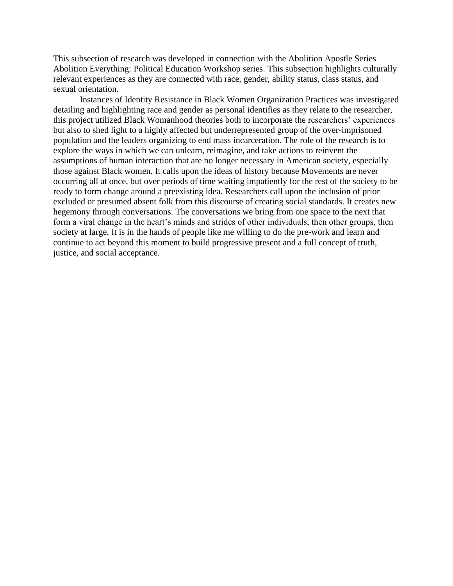This subsection of research was developed in connection with the Abolition Apostle Series Abolition Everything: Political Education Workshop series. This subsection highlights culturally relevant experiences as they are connected with race, gender, ability status, class status, and sexual orientation.

Instances of Identity Resistance in Black Women Organization Practices was investigated detailing and highlighting race and gender as personal identifies as they relate to the researcher, this project utilized Black Womanhood theories both to incorporate the researchers' experiences but also to shed light to a highly affected but underrepresented group of the over-imprisoned population and the leaders organizing to end mass incarceration. The role of the research is to explore the ways in which we can unlearn, reimagine, and take actions to reinvent the assumptions of human interaction that are no longer necessary in American society, especially those against Black women. It calls upon the ideas of history because Movements are never occurring all at once, but over periods of time waiting impatiently for the rest of the society to be ready to form change around a preexisting idea. Researchers call upon the inclusion of prior excluded or presumed absent folk from this discourse of creating social standards. It creates new hegemony through conversations. The conversations we bring from one space to the next that form a viral change in the heart's minds and strides of other individuals, then other groups, then society at large. It is in the hands of people like me willing to do the pre-work and learn and continue to act beyond this moment to build progressive present and a full concept of truth, justice, and social acceptance.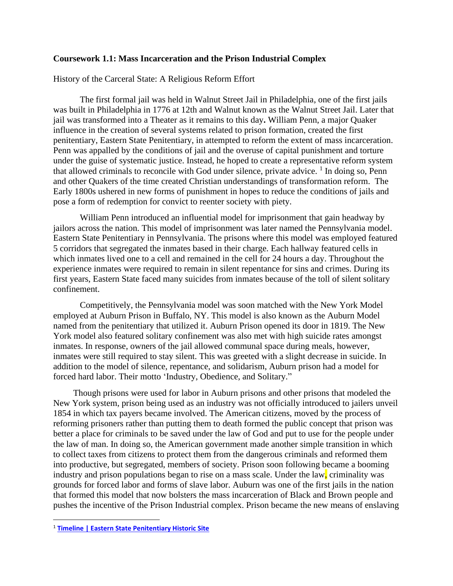#### **Coursework 1.1: Mass Incarceration and the Prison Industrial Complex**

History of the Carceral State: A Religious Reform Effort

The first formal jail was held in Walnut Street Jail in Philadelphia, one of the first jails was built in Philadelphia in 1776 at 12th and Walnut known as the Walnut Street Jail. Later that jail was transformed into a Theater as it remains to this day**.** William Penn, a major Quaker influence in the creation of several systems related to prison formation, created the first penitentiary, Eastern State Penitentiary, in attempted to reform the extent of mass incarceration. Penn was appalled by the conditions of jail and the overuse of capital punishment and torture under the guise of systematic justice. Instead, he hoped to create a representative reform system that allowed criminals to reconcile with God under silence, private advice.  $\frac{1}{1}$  In doing so, Penn and other Quakers of the time created Christian understandings of transformation reform. The Early 1800s ushered in new forms of punishment in hopes to reduce the conditions of jails and pose a form of redemption for convict to reenter society with piety.

William Penn introduced an influential model for imprisonment that gain headway by jailors across the nation. This model of imprisonment was later named the Pennsylvania model. Eastern State Penitentiary in Pennsylvania. The prisons where this model was employed featured 5 corridors that segregated the inmates based in their charge. Each hallway featured cells in which inmates lived one to a cell and remained in the cell for 24 hours a day. Throughout the experience inmates were required to remain in silent repentance for sins and crimes. During its first years, Eastern State faced many suicides from inmates because of the toll of silent solitary confinement.

Competitively, the Pennsylvania model was soon matched with the New York Model employed at Auburn Prison in Buffalo, NY. This model is also known as the Auburn Model named from the penitentiary that utilized it. Auburn Prison opened its door in 1819. The New York model also featured solitary confinement was also met with high suicide rates amongst inmates. In response, owners of the jail allowed communal space during meals, however, inmates were still required to stay silent. This was greeted with a slight decrease in suicide. In addition to the model of silence, repentance, and solidarism, Auburn prison had a model for forced hard labor. Their motto 'Industry, Obedience, and Solitary."

Though prisons were used for labor in Auburn prisons and other prisons that modeled the New York system, prison being used as an industry was not officially introduced to jailers unveil 1854 in which tax payers became involved. The American citizens, moved by the process of reforming prisoners rather than putting them to death formed the public concept that prison was better a place for criminals to be saved under the law of God and put to use for the people under the law of man. In doing so, the American government made another simple transition in which to collect taxes from citizens to protect them from the dangerous criminals and reformed them into productive, but segregated, members of society. Prison soon following became a booming industry and prison populations began to rise on a mass scale. Under the law, criminality was grounds for forced labor and forms of slave labor. Auburn was one of the first jails in the nation that formed this model that now bolsters the mass incarceration of Black and Brown people and pushes the incentive of the Prison Industrial complex. Prison became the new means of enslaving

<sup>1</sup> **[Timeline | Eastern State Penitentiary Historic Site](https://www.easternstate.org/research/history-eastern-state/timeline)**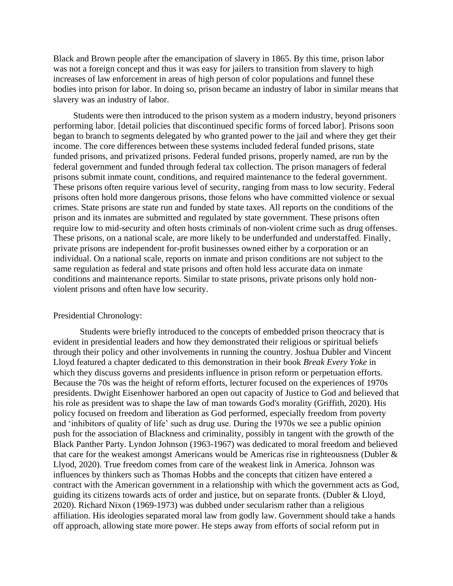Black and Brown people after the emancipation of slavery in 1865. By this time, prison labor was not a foreign concept and thus it was easy for jailers to transition from slavery to high increases of law enforcement in areas of high person of color populations and funnel these bodies into prison for labor. In doing so, prison became an industry of labor in similar means that slavery was an industry of labor.

Students were then introduced to the prison system as a modern industry, beyond prisoners performing labor. [detail policies that discontinued specific forms of forced labor]. Prisons soon began to branch to segments delegated by who granted power to the jail and where they get their income. The core differences between these systems included federal funded prisons, state funded prisons, and privatized prisons. Federal funded prisons, properly named, are run by the federal government and funded through federal tax collection. The prison managers of federal prisons submit inmate count, conditions, and required maintenance to the federal government. These prisons often require various level of security, ranging from mass to low security. Federal prisons often hold more dangerous prisons, those felons who have committed violence or sexual crimes. State prisons are state run and funded by state taxes. All reports on the conditions of the prison and its inmates are submitted and regulated by state government. These prisons often require low to mid-security and often hosts criminals of non-violent crime such as drug offenses. These prisons, on a national scale, are more likely to be underfunded and understaffed. Finally, private prisons are independent for-profit businesses owned either by a corporation or an individual. On a national scale, reports on inmate and prison conditions are not subject to the same regulation as federal and state prisons and often hold less accurate data on inmate conditions and maintenance reports. Similar to state prisons, private prisons only hold nonviolent prisons and often have low security.

#### Presidential Chronology:

Students were briefly introduced to the concepts of embedded prison theocracy that is evident in presidential leaders and how they demonstrated their religious or spiritual beliefs through their policy and other involvements in running the country. Joshua Dubler and Vincent Lloyd featured a chapter dedicated to this demonstration in their book *Break Every Yoke* in which they discuss governs and presidents influence in prison reform or perpetuation efforts. Because the 70s was the height of reform efforts, lecturer focused on the experiences of 1970s presidents. Dwight Eisenhower harbored an open out capacity of Justice to God and believed that his role as president was to shape the law of man towards God's morality (Griffith, 2020). His policy focused on freedom and liberation as God performed, especially freedom from poverty and 'inhibitors of quality of life' such as drug use. During the 1970s we see a public opinion push for the association of Blackness and criminality, possibly in tangent with the growth of the Black Panther Party. Lyndon Johnson (1963-1967) was dedicated to moral freedom and believed that care for the weakest amongst Americans would be Americas rise in righteousness (Dubler & Llyod, 2020). True freedom comes from care of the weakest link in America. Johnson was influences by thinkers such as Thomas Hobbs and the concepts that citizen have entered a contract with the American government in a relationship with which the government acts as God, guiding its citizens towards acts of order and justice, but on separate fronts. (Dubler & Lloyd, 2020). Richard Nixon (1969-1973) was dubbed under secularism rather than a religious affiliation. His ideologies separated moral law from godly law. Government should take a hands off approach, allowing state more power. He steps away from efforts of social reform put in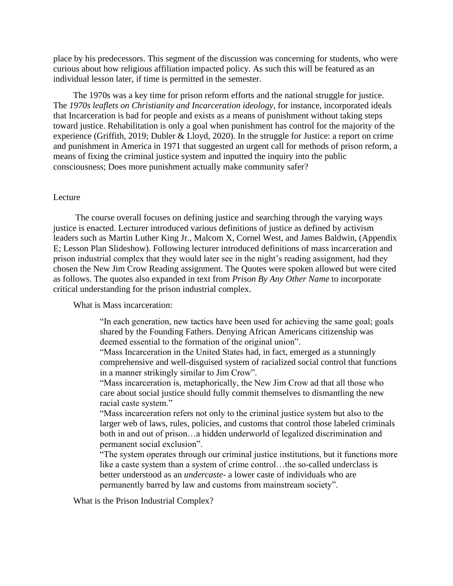place by his predecessors. This segment of the discussion was concerning for students, who were curious about how religious affiliation impacted policy. As such this will be featured as an individual lesson later, if time is permitted in the semester.

The 1970s was a key time for prison reform efforts and the national struggle for justice. The *1970s leaflets on Christianity and Incarceration ideology*, for instance, incorporated ideals that Incarceration is bad for people and exists as a means of punishment without taking steps toward justice. Rehabilitation is only a goal when punishment has control for the majority of the experience (Griffith, 2019; Dubler & Lloyd, 2020). In the struggle for Justice: a report on crime and punishment in America in 1971 that suggested an urgent call for methods of prison reform, a means of fixing the criminal justice system and inputted the inquiry into the public consciousness; Does more punishment actually make community safer?

#### Lecture

The course overall focuses on defining justice and searching through the varying ways justice is enacted. Lecturer introduced various definitions of justice as defined by activism leaders such as Martin Luther King Jr., Malcom X, Cornel West, and James Baldwin, (Appendix E; Lesson Plan Slideshow). Following lecturer introduced definitions of mass incarceration and prison industrial complex that they would later see in the night's reading assignment, had they chosen the New Jim Crow Reading assignment. The Quotes were spoken allowed but were cited as follows. The quotes also expanded in text from *Prison By Any Other Name* to incorporate critical understanding for the prison industrial complex.

What is Mass incarceration:

"In each generation, new tactics have been used for achieving the same goal; goals shared by the Founding Fathers. Denying African Americans citizenship was deemed essential to the formation of the original union".

"Mass Incarceration in the United States had, in fact, emerged as a stunningly comprehensive and well-disguised system of racialized social control that functions in a manner strikingly similar to Jim Crow".

"Mass incarceration is, metaphorically, the New Jim Crow ad that all those who care about social justice should fully commit themselves to dismantling the new racial caste system."

"Mass incarceration refers not only to the criminal justice system but also to the larger web of laws, rules, policies, and customs that control those labeled criminals both in and out of prison…a hidden underworld of legalized discrimination and permanent social exclusion".

"The system operates through our criminal justice institutions, but it functions more like a caste system than a system of crime control…the so-called underclass is better understood as an *undercaste*- a lower caste of individuals who are permanently barred by law and customs from mainstream society".

What is the Prison Industrial Complex?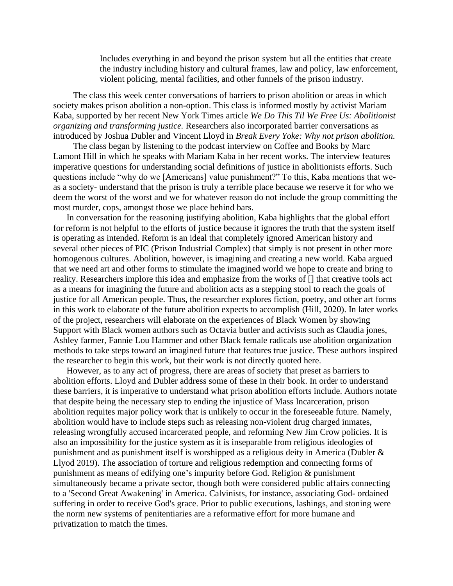Includes everything in and beyond the prison system but all the entities that create the industry including history and cultural frames, law and policy, law enforcement, violent policing, mental facilities, and other funnels of the prison industry.

The class this week center conversations of barriers to prison abolition or areas in which society makes prison abolition a non-option. This class is informed mostly by activist Mariam Kaba, supported by her recent New York Times article *We Do This Til We Free Us: Abolitionist organizing and transforming justice.* Researchers also incorporated barrier conversations as introduced by Joshua Dubler and Vincent Lloyd in *Break Every Yoke: Why not prison abolition.*

The class began by listening to the podcast interview on Coffee and Books by Marc Lamont Hill in which he speaks with Mariam Kaba in her recent works. The interview features imperative questions for understanding social definitions of justice in abolitionists efforts. Such questions include "why do we [Americans] value punishment?" To this, Kaba mentions that weas a society- understand that the prison is truly a terrible place because we reserve it for who we deem the worst of the worst and we for whatever reason do not include the group committing the most murder, cops, amongst those we place behind bars.

In conversation for the reasoning justifying abolition, Kaba highlights that the global effort for reform is not helpful to the efforts of justice because it ignores the truth that the system itself is operating as intended. Reform is an ideal that completely ignored American history and several other pieces of PIC (Prison Industrial Complex) that simply is not present in other more homogenous cultures. Abolition, however, is imagining and creating a new world. Kaba argued that we need art and other forms to stimulate the imagined world we hope to create and bring to reality. Researchers implore this idea and emphasize from the works of [] that creative tools act as a means for imagining the future and abolition acts as a stepping stool to reach the goals of justice for all American people. Thus, the researcher explores fiction, poetry, and other art forms in this work to elaborate of the future abolition expects to accomplish (Hill, 2020). In later works of the project, researchers will elaborate on the experiences of Black Women by showing Support with Black women authors such as Octavia butler and activists such as Claudia jones, Ashley farmer, Fannie Lou Hammer and other Black female radicals use abolition organization methods to take steps toward an imagined future that features true justice. These authors inspired the researcher to begin this work, but their work is not directly quoted here.

However, as to any act of progress, there are areas of society that preset as barriers to abolition efforts. Lloyd and Dubler address some of these in their book. In order to understand these barriers, it is imperative to understand what prison abolition efforts include. Authors notate that despite being the necessary step to ending the injustice of Mass Incarceration, prison abolition requites major policy work that is unlikely to occur in the foreseeable future. Namely, abolition would have to include steps such as releasing non-violent drug charged inmates, releasing wrongfully accused incarcerated people, and reforming New Jim Crow policies. It is also an impossibility for the justice system as it is inseparable from religious ideologies of punishment and as punishment itself is worshipped as a religious deity in America (Dubler & Llyod 2019). The association of torture and religious redemption and connecting forms of punishment as means of edifying one's impurity before God. Religion & punishment simultaneously became a private sector, though both were considered public affairs connecting to a 'Second Great Awakening' in America. Calvinists, for instance, associating God- ordained suffering in order to receive God's grace. Prior to public executions, lashings, and stoning were the norm new systems of penitentiaries are a reformative effort for more humane and privatization to match the times.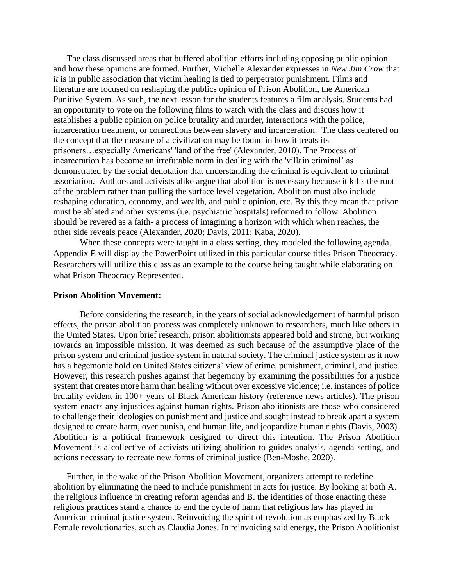The class discussed areas that buffered abolition efforts including opposing public opinion and how these opinions are formed. Further, Michelle Alexander expresses in *New Jim Crow* that i*t* is in public association that victim healing is tied to perpetrator punishment. Films and literature are focused on reshaping the publics opinion of Prison Abolition, the American Punitive System. As such, the next lesson for the students features a film analysis. Students had an opportunity to vote on the following films to watch with the class and discuss how it establishes a public opinion on police brutality and murder, interactions with the police, incarceration treatment, or connections between slavery and incarceration. The class centered on the concept that the measure of a civilization may be found in how it treats its prisoners…especially Americans' 'land of the free' (Alexander, 2010). The Process of incarceration has become an irrefutable norm in dealing with the 'villain criminal' as demonstrated by the social denotation that understanding the criminal is equivalent to criminal association. Authors and activists alike argue that abolition is necessary because it kills the root of the problem rather than pulling the surface level vegetation. Abolition must also include reshaping education, economy, and wealth, and public opinion, etc. By this they mean that prison must be ablated and other systems (i.e. psychiatric hospitals) reformed to follow. Abolition should be revered as a faith- a process of imagining a horizon with which when reaches, the other side reveals peace (Alexander, 2020; Davis, 2011; Kaba, 2020).

When these concepts were taught in a class setting, they modeled the following agenda. Appendix E will display the PowerPoint utilized in this particular course titles Prison Theocracy. Researchers will utilize this class as an example to the course being taught while elaborating on what Prison Theocracy Represented.

#### **Prison Abolition Movement:**

Before considering the research, in the years of social acknowledgement of harmful prison effects, the prison abolition process was completely unknown to researchers, much like others in the United States. Upon brief research, prison abolitionists appeared bold and strong, but working towards an impossible mission. It was deemed as such because of the assumptive place of the prison system and criminal justice system in natural society. The criminal justice system as it now has a hegemonic hold on United States citizens' view of crime, punishment, criminal, and justice. However, this research pushes against that hegemony by examining the possibilities for a justice system that creates more harm than healing without over excessive violence; i.e. instances of police brutality evident in 100+ years of Black American history (reference news articles). The prison system enacts any injustices against human rights. Prison abolitionists are those who considered to challenge their ideologies on punishment and justice and sought instead to break apart a system designed to create harm, over punish, end human life, and jeopardize human rights (Davis, 2003). Abolition is a political framework designed to direct this intention. The Prison Abolition Movement is a collective of activists utilizing abolition to guides analysis, agenda setting, and actions necessary to recreate new forms of criminal justice (Ben-Moshe, 2020).

Further, in the wake of the Prison Abolition Movement, organizers attempt to redefine abolition by eliminating the need to include punishment in acts for justice. By looking at both A. the religious influence in creating reform agendas and B. the identities of those enacting these religious practices stand a chance to end the cycle of harm that religious law has played in American criminal justice system. Reinvoicing the spirit of revolution as emphasized by Black Female revolutionaries, such as Claudia Jones. In reinvoicing said energy, the Prison Abolitionist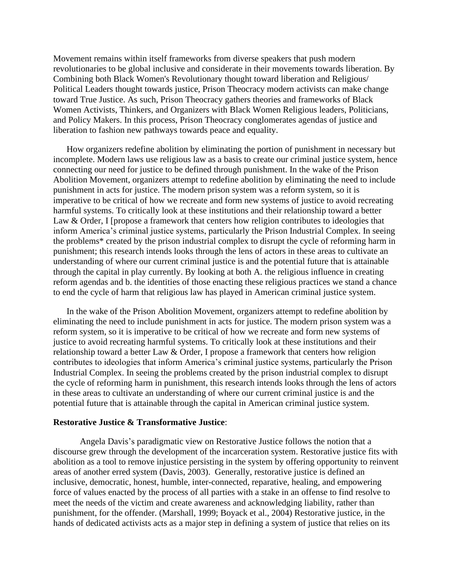Movement remains within itself frameworks from diverse speakers that push modern revolutionaries to be global inclusive and considerate in their movements towards liberation. By Combining both Black Women's Revolutionary thought toward liberation and Religious/ Political Leaders thought towards justice, Prison Theocracy modern activists can make change toward True Justice. As such, Prison Theocracy gathers theories and frameworks of Black Women Activists, Thinkers, and Organizers with Black Women Religious leaders, Politicians, and Policy Makers. In this process, Prison Theocracy conglomerates agendas of justice and liberation to fashion new pathways towards peace and equality.

How organizers redefine abolition by eliminating the portion of punishment in necessary but incomplete. Modern laws use religious law as a basis to create our criminal justice system, hence connecting our need for justice to be defined through punishment. In the wake of the Prison Abolition Movement, organizers attempt to redefine abolition by eliminating the need to include punishment in acts for justice. The modern prison system was a reform system, so it is imperative to be critical of how we recreate and form new systems of justice to avoid recreating harmful systems. To critically look at these institutions and their relationship toward a better Law & Order, I [propose a framework that centers how religion contributes to ideologies that inform America's criminal justice systems, particularly the Prison Industrial Complex. In seeing the problems\* created by the prison industrial complex to disrupt the cycle of reforming harm in punishment; this research intends looks through the lens of actors in these areas to cultivate an understanding of where our current criminal justice is and the potential future that is attainable through the capital in play currently. By looking at both A. the religious influence in creating reform agendas and b. the identities of those enacting these religious practices we stand a chance to end the cycle of harm that religious law has played in American criminal justice system.

In the wake of the Prison Abolition Movement, organizers attempt to redefine abolition by eliminating the need to include punishment in acts for justice. The modern prison system was a reform system, so it is imperative to be critical of how we recreate and form new systems of justice to avoid recreating harmful systems. To critically look at these institutions and their relationship toward a better Law & Order, I propose a framework that centers how religion contributes to ideologies that inform America's criminal justice systems, particularly the Prison Industrial Complex. In seeing the problems created by the prison industrial complex to disrupt the cycle of reforming harm in punishment, this research intends looks through the lens of actors in these areas to cultivate an understanding of where our current criminal justice is and the potential future that is attainable through the capital in American criminal justice system.

#### **Restorative Justice & Transformative Justice**:

Angela Davis's paradigmatic view on Restorative Justice follows the notion that a discourse grew through the development of the incarceration system. Restorative justice fits with abolition as a tool to remove injustice persisting in the system by offering opportunity to reinvent areas of another erred system (Davis, 2003). Generally, restorative justice is defined an inclusive, democratic, honest, humble, inter-connected, reparative, healing, and empowering force of values enacted by the process of all parties with a stake in an offense to find resolve to meet the needs of the victim and create awareness and acknowledging liability, rather than punishment, for the offender. (Marshall, 1999; Boyack et al., 2004) Restorative justice, in the hands of dedicated activists acts as a major step in defining a system of justice that relies on its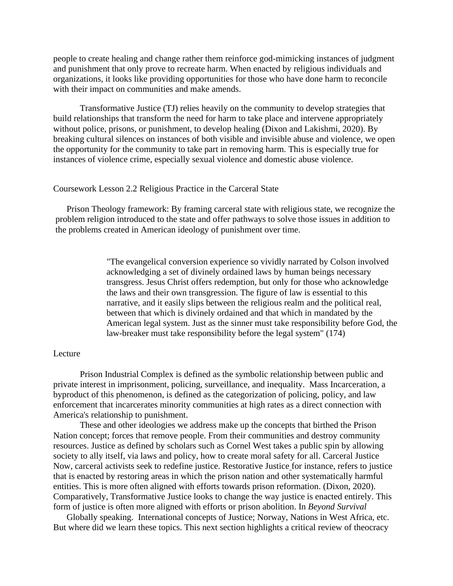people to create healing and change rather them reinforce god-mimicking instances of judgment and punishment that only prove to recreate harm. When enacted by religious individuals and organizations, it looks like providing opportunities for those who have done harm to reconcile with their impact on communities and make amends.

Transformative Justice (TJ) relies heavily on the community to develop strategies that build relationships that transform the need for harm to take place and intervene appropriately without police, prisons, or punishment, to develop healing (Dixon and Lakishmi, 2020). By breaking cultural silences on instances of both visible and invisible abuse and violence, we open the opportunity for the community to take part in removing harm. This is especially true for instances of violence crime, especially sexual violence and domestic abuse violence.

#### Coursework Lesson 2.2 Religious Practice in the Carceral State

Prison Theology framework: By framing carceral state with religious state, we recognize the problem religion introduced to the state and offer pathways to solve those issues in addition to the problems created in American ideology of punishment over time.

> "The evangelical conversion experience so vividly narrated by Colson involved acknowledging a set of divinely ordained laws by human beings necessary transgress. Jesus Christ offers redemption, but only for those who acknowledge the laws and their own transgression. The figure of law is essential to this narrative, and it easily slips between the religious realm and the political real, between that which is divinely ordained and that which in mandated by the American legal system. Just as the sinner must take responsibility before God, the law-breaker must take responsibility before the legal system" (174)

#### Lecture

Prison Industrial Complex is defined as the symbolic relationship between public and private interest in imprisonment, policing, surveillance, and inequality. Mass Incarceration, a byproduct of this phenomenon, is defined as the categorization of policing, policy, and law enforcement that incarcerates minority communities at high rates as a direct connection with America's relationship to punishment.

These and other ideologies we address make up the concepts that birthed the Prison Nation concept; forces that remove people. From their communities and destroy community resources. Justice as defined by scholars such as Cornel West takes a public spin by allowing society to ally itself, via laws and policy, how to create moral safety for all. Carceral Justice Now, carceral activists seek to redefine justice. Restorative Justice for instance, refers to justice that is enacted by restoring areas in which the prison nation and other systematically harmful entities. This is more often aligned with efforts towards prison reformation. (Dixon, 2020). Comparatively, Transformative Justice looks to change the way justice is enacted entirely. This form of justice is often more aligned with efforts or prison abolition. In *Beyond Survival*

Globally speaking. International concepts of Justice; Norway, Nations in West Africa, etc. But where did we learn these topics. This next section highlights a critical review of theocracy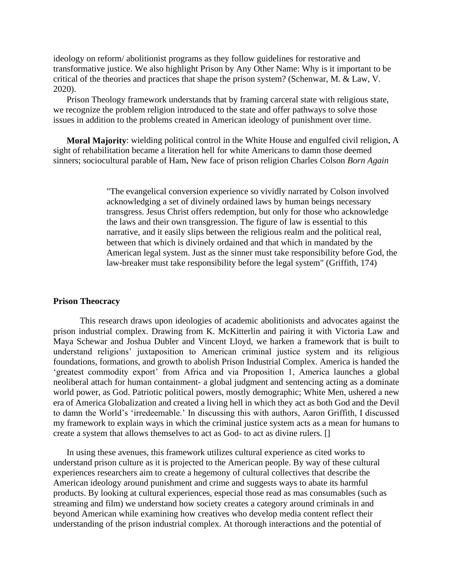ideology on reform/ abolitionist programs as they follow guidelines for restorative and transformative justice. We also highlight Prison by Any Other Name: Why is it important to be critical of the theories and practices that shape the prison system? (Schenwar, M. & Law, V. 2020).

Prison Theology framework understands that by framing carceral state with religious state, we recognize the problem religion introduced to the state and offer pathways to solve those issues in addition to the problems created in American ideology of punishment over time.

**Moral Majority**: wielding political control in the White House and engulfed civil religion**.** A sight of rehabilitation became a literation hell for white Americans to damn those deemed sinners; sociocultural parable of Ham**.** New face of prison religion Charles Colson *Born Again*

> "The evangelical conversion experience so vividly narrated by Colson involved acknowledging a set of divinely ordained laws by human beings necessary transgress. Jesus Christ offers redemption, but only for those who acknowledge the laws and their own transgression. The figure of law is essential to this narrative, and it easily slips between the religious realm and the political real, between that which is divinely ordained and that which in mandated by the American legal system. Just as the sinner must take responsibility before God, the law-breaker must take responsibility before the legal system" (Griffith, 174)

#### **Prison Theocracy**

This research draws upon ideologies of academic abolitionists and advocates against the prison industrial complex. Drawing from K. McKitterlin and pairing it with Victoria Law and Maya Schewar and Joshua Dubler and Vincent Lloyd, we harken a framework that is built to understand religions' juxtaposition to American criminal justice system and its religious foundations, formations, and growth to abolish Prison Industrial Complex. America is handed the 'greatest commodity export' from Africa and via Proposition 1, America launches a global neoliberal attach for human containment- a global judgment and sentencing acting as a dominate world power, as God. Patriotic political powers, mostly demographic; White Men, ushered a new era of America Globalization and created a living hell in which they act as both God and the Devil to damn the World's 'irredeemable.' In discussing this with authors, Aaron Griffith, I discussed my framework to explain ways in which the criminal justice system acts as a mean for humans to create a system that allows themselves to act as God- to act as divine rulers. []

In using these avenues, this framework utilizes cultural experience as cited works to understand prison culture as it is projected to the American people. By way of these cultural experiences researchers aim to create a hegemony of cultural collectives that describe the American ideology around punishment and crime and suggests ways to abate its harmful products. By looking at cultural experiences, especial those read as mas consumables (such as streaming and film) we understand how society creates a category around criminals in and beyond American while examining how creatives who develop media content reflect their understanding of the prison industrial complex. At thorough interactions and the potential of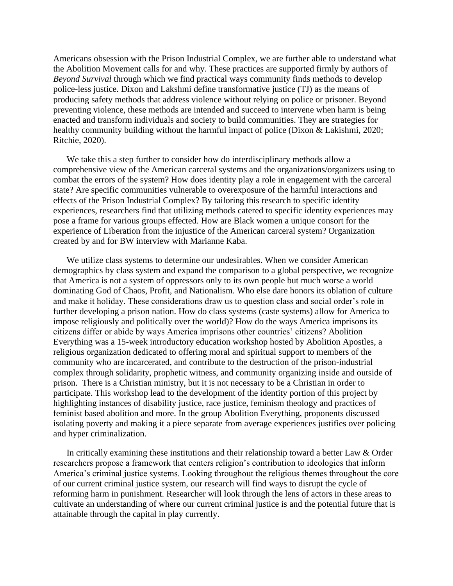Americans obsession with the Prison Industrial Complex, we are further able to understand what the Abolition Movement calls for and why. These practices are supported firmly by authors of *Beyond Survival* through which we find practical ways community finds methods to develop police-less justice. Dixon and Lakshmi define transformative justice (TJ) as the means of producing safety methods that address violence without relying on police or prisoner. Beyond preventing violence, these methods are intended and succeed to intervene when harm is being enacted and transform individuals and society to build communities. They are strategies for healthy community building without the harmful impact of police (Dixon & Lakishmi, 2020; Ritchie, 2020).

We take this a step further to consider how do interdisciplinary methods allow a comprehensive view of the American carceral systems and the organizations/organizers using to combat the errors of the system? How does identity play a role in engagement with the carceral state? Are specific communities vulnerable to overexposure of the harmful interactions and effects of the Prison Industrial Complex? By tailoring this research to specific identity experiences, researchers find that utilizing methods catered to specific identity experiences may pose a frame for various groups effected. How are Black women a unique consort for the experience of Liberation from the injustice of the American carceral system? Organization created by and for BW interview with Marianne Kaba.

We utilize class systems to determine our undesirables. When we consider American demographics by class system and expand the comparison to a global perspective, we recognize that America is not a system of oppressors only to its own people but much worse a world dominating God of Chaos, Profit, and Nationalism. Who else dare honors its oblation of culture and make it holiday. These considerations draw us to question class and social order's role in further developing a prison nation. How do class systems (caste systems) allow for America to impose religiously and politically over the world)? How do the ways America imprisons its citizens differ or abide by ways America imprisons other countries' citizens? Abolition Everything was a 15-week introductory education workshop hosted by Abolition Apostles, a religious organization dedicated to offering moral and spiritual support to members of the community who are incarcerated, and contribute to the destruction of the prison-industrial complex through solidarity, prophetic witness, and community organizing inside and outside of prison. There is a Christian ministry, but it is not necessary to be a Christian in order to participate. This workshop lead to the development of the identity portion of this project by highlighting instances of disability justice, race justice, feminism theology and practices of feminist based abolition and more. In the group Abolition Everything, proponents discussed isolating poverty and making it a piece separate from average experiences justifies over policing and hyper criminalization.

In critically examining these institutions and their relationship toward a better Law & Order researchers propose a framework that centers religion's contribution to ideologies that inform America's criminal justice systems. Looking throughout the religious themes throughout the core of our current criminal justice system, our research will find ways to disrupt the cycle of reforming harm in punishment. Researcher will look through the lens of actors in these areas to cultivate an understanding of where our current criminal justice is and the potential future that is attainable through the capital in play currently.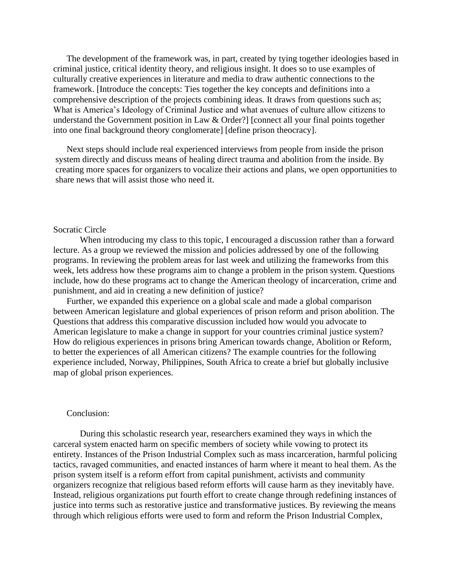The development of the framework was, in part, created by tying together ideologies based in criminal justice, critical identity theory, and religious insight. It does so to use examples of culturally creative experiences in literature and media to draw authentic connections to the framework. [Introduce the concepts: Ties together the key concepts and definitions into a comprehensive description of the projects combining ideas. It draws from questions such as; What is America's Ideology of Criminal Justice and what avenues of culture allow citizens to understand the Government position in Law & Order?] [connect all your final points together into one final background theory conglomerate] [define prison theocracy].

Next steps should include real experienced interviews from people from inside the prison system directly and discuss means of healing direct trauma and abolition from the inside. By creating more spaces for organizers to vocalize their actions and plans, we open opportunities to share news that will assist those who need it.

#### Socratic Circle

When introducing my class to this topic, I encouraged a discussion rather than a forward lecture. As a group we reviewed the mission and policies addressed by one of the following programs. In reviewing the problem areas for last week and utilizing the frameworks from this week, lets address how these programs aim to change a problem in the prison system. Questions include, how do these programs act to change the American theology of incarceration, crime and punishment, and aid in creating a new definition of justice?

Further, we expanded this experience on a global scale and made a global comparison between American legislature and global experiences of prison reform and prison abolition. The Questions that address this comparative discussion included how would you advocate to American legislature to make a change in support for your countries criminal justice system? How do religious experiences in prisons bring American towards change, Abolition or Reform, to better the experiences of all American citizens? The example countries for the following experience included, Norway, Philippines, South Africa to create a brief but globally inclusive map of global prison experiences.

#### Conclusion:

During this scholastic research year, researchers examined they ways in which the carceral system enacted harm on specific members of society while vowing to protect its entirety. Instances of the Prison Industrial Complex such as mass incarceration, harmful policing tactics, ravaged communities, and enacted instances of harm where it meant to heal them. As the prison system itself is a reform effort from capital punishment, activists and community organizers recognize that religious based reform efforts will cause harm as they inevitably have. Instead, religious organizations put fourth effort to create change through redefining instances of justice into terms such as restorative justice and transformative justices. By reviewing the means through which religious efforts were used to form and reform the Prison Industrial Complex,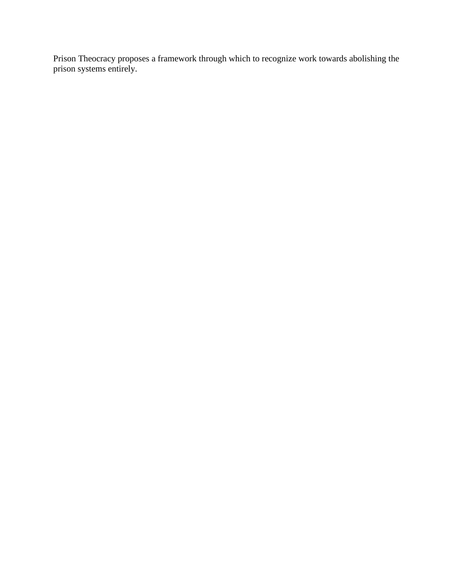Prison Theocracy proposes a framework through which to recognize work towards abolishing the prison systems entirely.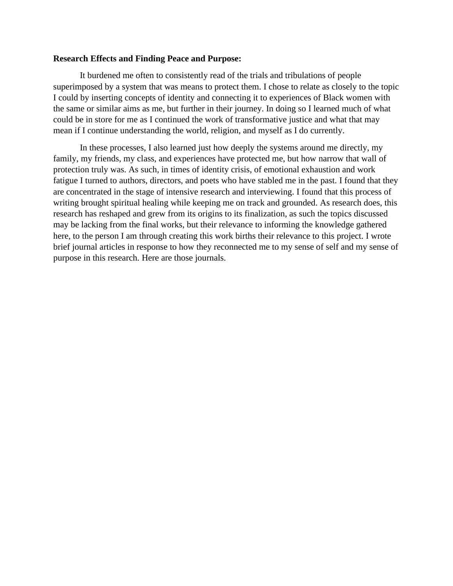#### **Research Effects and Finding Peace and Purpose:**

It burdened me often to consistently read of the trials and tribulations of people superimposed by a system that was means to protect them. I chose to relate as closely to the topic I could by inserting concepts of identity and connecting it to experiences of Black women with the same or similar aims as me, but further in their journey. In doing so I learned much of what could be in store for me as I continued the work of transformative justice and what that may mean if I continue understanding the world, religion, and myself as I do currently.

In these processes, I also learned just how deeply the systems around me directly, my family, my friends, my class, and experiences have protected me, but how narrow that wall of protection truly was. As such, in times of identity crisis, of emotional exhaustion and work fatigue I turned to authors, directors, and poets who have stabled me in the past. I found that they are concentrated in the stage of intensive research and interviewing. I found that this process of writing brought spiritual healing while keeping me on track and grounded. As research does, this research has reshaped and grew from its origins to its finalization, as such the topics discussed may be lacking from the final works, but their relevance to informing the knowledge gathered here, to the person I am through creating this work births their relevance to this project. I wrote brief journal articles in response to how they reconnected me to my sense of self and my sense of purpose in this research. Here are those journals.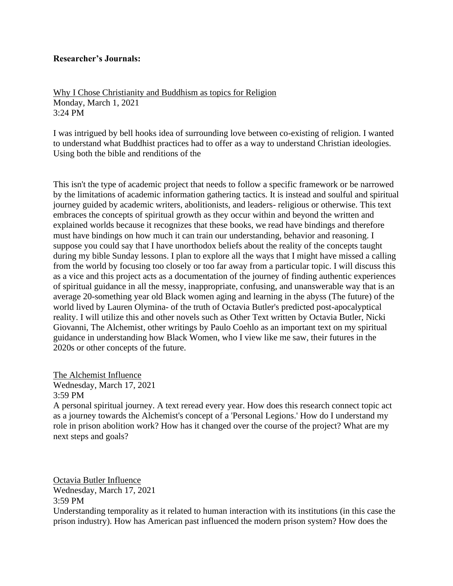# **Researcher's Journals:**

Why I Chose Christianity and Buddhism as topics for Religion Monday, March 1, 2021 3:24 PM

I was intrigued by bell hooks idea of surrounding love between co-existing of religion. I wanted to understand what Buddhist practices had to offer as a way to understand Christian ideologies. Using both the bible and renditions of the

This isn't the type of academic project that needs to follow a specific framework or be narrowed by the limitations of academic information gathering tactics. It is instead and soulful and spiritual journey guided by academic writers, abolitionists, and leaders- religious or otherwise. This text embraces the concepts of spiritual growth as they occur within and beyond the written and explained worlds because it recognizes that these books, we read have bindings and therefore must have bindings on how much it can train our understanding, behavior and reasoning. I suppose you could say that I have unorthodox beliefs about the reality of the concepts taught during my bible Sunday lessons. I plan to explore all the ways that I might have missed a calling from the world by focusing too closely or too far away from a particular topic. I will discuss this as a vice and this project acts as a documentation of the journey of finding authentic experiences of spiritual guidance in all the messy, inappropriate, confusing, and unanswerable way that is an average 20-something year old Black women aging and learning in the abyss (The future) of the world lived by Lauren Olymina- of the truth of Octavia Butler's predicted post-apocalyptical reality. I will utilize this and other novels such as Other Text written by Octavia Butler, Nicki Giovanni, The Alchemist, other writings by Paulo Coehlo as an important text on my spiritual guidance in understanding how Black Women, who I view like me saw, their futures in the 2020s or other concepts of the future.

The Alchemist Influence Wednesday, March 17, 2021 3:59 PM

A personal spiritual journey. A text reread every year. How does this research connect topic act as a journey towards the Alchemist's concept of a 'Personal Legions.' How do I understand my role in prison abolition work? How has it changed over the course of the project? What are my next steps and goals?

Octavia Butler Influence Wednesday, March 17, 2021 3:59 PM

Understanding temporality as it related to human interaction with its institutions (in this case the prison industry). How has American past influenced the modern prison system? How does the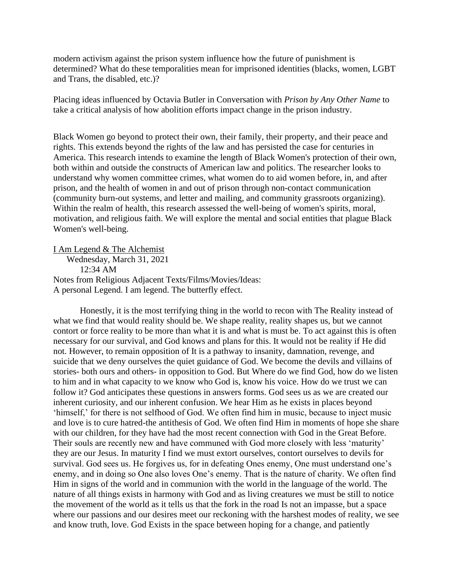modern activism against the prison system influence how the future of punishment is determined? What do these temporalities mean for imprisoned identities (blacks, women, LGBT and Trans, the disabled, etc.)?

Placing ideas influenced by Octavia Butler in Conversation with *Prison by Any Other Name* to take a critical analysis of how abolition efforts impact change in the prison industry.

Black Women go beyond to protect their own, their family, their property, and their peace and rights. This extends beyond the rights of the law and has persisted the case for centuries in America. This research intends to examine the length of Black Women's protection of their own, both within and outside the constructs of American law and politics. The researcher looks to understand why women committee crimes, what women do to aid women before, in, and after prison, and the health of women in and out of prison through non-contact communication (community burn-out systems, and letter and mailing, and community grassroots organizing). Within the realm of health, this research assessed the well-being of women's spirits, moral, motivation, and religious faith. We will explore the mental and social entities that plague Black Women's well-being.

I Am Legend & The Alchemist

Wednesday, March 31, 2021 12:34 AM Notes from Religious Adjacent Texts/Films/Movies/Ideas: A personal Legend. I am legend. The butterfly effect.

Honestly, it is the most terrifying thing in the world to recon with The Reality instead of what we find that would reality should be. We shape reality, reality shapes us, but we cannot contort or force reality to be more than what it is and what is must be. To act against this is often necessary for our survival, and God knows and plans for this. It would not be reality if He did not. However, to remain opposition of It is a pathway to insanity, damnation, revenge, and suicide that we deny ourselves the quiet guidance of God. We become the devils and villains of stories- both ours and others- in opposition to God. But Where do we find God, how do we listen to him and in what capacity to we know who God is, know his voice. How do we trust we can follow it? God anticipates these questions in answers forms. God sees us as we are created our inherent curiosity, and our inherent confusion. We hear Him as he exists in places beyond 'himself,' for there is not selfhood of God. We often find him in music, because to inject music and love is to cure hatred-the antithesis of God. We often find Him in moments of hope she share with our children, for they have had the most recent connection with God in the Great Before. Their souls are recently new and have communed with God more closely with less 'maturity' they are our Jesus. In maturity I find we must extort ourselves, contort ourselves to devils for survival. God sees us. He forgives us, for in defeating Ones enemy, One must understand one's enemy, and in doing so One also loves One's enemy. That is the nature of charity. We often find Him in signs of the world and in communion with the world in the language of the world. The nature of all things exists in harmony with God and as living creatures we must be still to notice the movement of the world as it tells us that the fork in the road Is not an impasse, but a space where our passions and our desires meet our reckoning with the harshest modes of reality, we see and know truth, love. God Exists in the space between hoping for a change, and patiently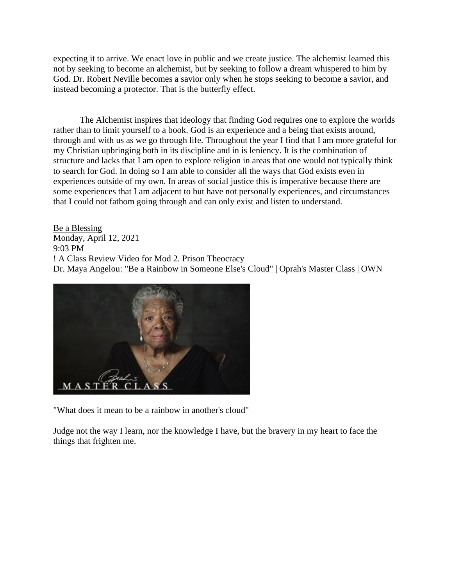expecting it to arrive. We enact love in public and we create justice. The alchemist learned this not by seeking to become an alchemist, but by seeking to follow a dream whispered to him by God. Dr. Robert Neville becomes a savior only when he stops seeking to become a savior, and instead becoming a protector. That is the butterfly effect.

The Alchemist inspires that ideology that finding God requires one to explore the worlds rather than to limit yourself to a book. God is an experience and a being that exists around, through and with us as we go through life. Throughout the year I find that I am more grateful for my Christian upbringing both in its discipline and in is leniency. It is the combination of structure and lacks that I am open to explore religion in areas that one would not typically think to search for God. In doing so I am able to consider all the ways that God exists even in experiences outside of my own. In areas of social justice this is imperative because there are some experiences that I am adjacent to but have not personally experiences, and circumstances that I could not fathom going through and can only exist and listen to understand.

Be a Blessing Monday, April 12, 2021 9:03 PM ! A Class Review Video for Mod 2. Prison Theocracy [Dr. Maya Angelou: "Be a Rainbow in Someone Else's Cloud" | Oprah's Master Class | OWN](https://www.youtube.com/watch?v=0nYXFletWH4&t=112s)



"What does it mean to be a rainbow in another's cloud"

Judge not the way I learn, nor the knowledge I have, but the bravery in my heart to face the things that frighten me.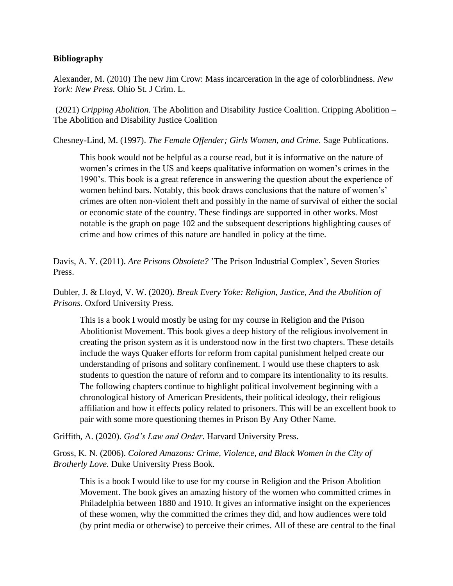# **Bibliography**

Alexander, M. (2010) The new Jim Crow: Mass incarceration in the age of colorblindness. *New York: New Press.* Ohio St. J Crim. L.

(2021) *Cripping Abolition.* The Abolition and Disability Justice Coalition. [Cripping Abolition –](https://abolitionanddisabilityjustice.com/opening/) [The Abolition and Disability Justice Coalition](https://abolitionanddisabilityjustice.com/opening/)

Chesney-Lind, M. (1997). *The Female Offender; Girls Women, and Crime.* Sage Publications.

This book would not be helpful as a course read, but it is informative on the nature of women's crimes in the US and keeps qualitative information on women's crimes in the 1990's. This book is a great reference in answering the question about the experience of women behind bars. Notably, this book draws conclusions that the nature of women's' crimes are often non-violent theft and possibly in the name of survival of either the social or economic state of the country. These findings are supported in other works. Most notable is the graph on page 102 and the subsequent descriptions highlighting causes of crime and how crimes of this nature are handled in policy at the time.

Davis, A. Y. (2011). *Are Prisons Obsolete?* 'The Prison Industrial Complex'*,* Seven Stories Press.

Dubler, J. & Lloyd, V. W. (2020). *Break Every Yoke: Religion, Justice, And the Abolition of Prisons*. Oxford University Press.

This is a book I would mostly be using for my course in Religion and the Prison Abolitionist Movement. This book gives a deep history of the religious involvement in creating the prison system as it is understood now in the first two chapters. These details include the ways Quaker efforts for reform from capital punishment helped create our understanding of prisons and solitary confinement. I would use these chapters to ask students to question the nature of reform and to compare its intentionality to its results. The following chapters continue to highlight political involvement beginning with a chronological history of American Presidents, their political ideology, their religious affiliation and how it effects policy related to prisoners. This will be an excellent book to pair with some more questioning themes in Prison By Any Other Name.

Griffith, A. (2020). *God's Law and Order*. Harvard University Press.

Gross, K. N. (2006). *Colored Amazons: Crime, Violence, and Black Women in the City of Brotherly Love.* Duke University Press Book.

This is a book I would like to use for my course in Religion and the Prison Abolition Movement. The book gives an amazing history of the women who committed crimes in Philadelphia between 1880 and 1910. It gives an informative insight on the experiences of these women, why the committed the crimes they did, and how audiences were told (by print media or otherwise) to perceive their crimes. All of these are central to the final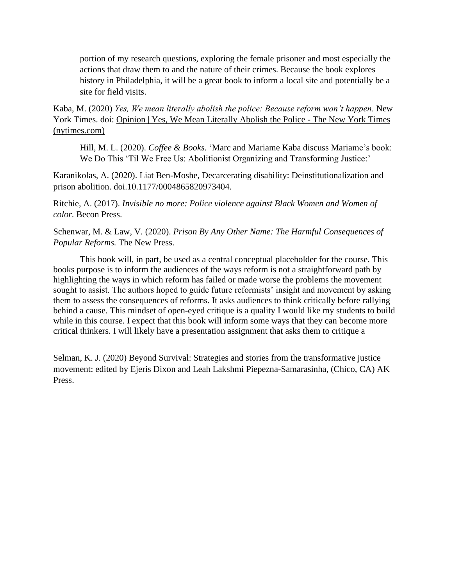portion of my research questions, exploring the female prisoner and most especially the actions that draw them to and the nature of their crimes. Because the book explores history in Philadelphia, it will be a great book to inform a local site and potentially be a site for field visits.

Kaba, M. (2020) *Yes, We mean literally abolish the police: Because reform won't happen.* New York Times. doi: [Opinion | Yes, We Mean Literally Abolish the Police -](https://www.nytimes.com/2020/06/12/opinion/sunday/floyd-abolish-defund-police.html) The New York Times [\(nytimes.com\)](https://www.nytimes.com/2020/06/12/opinion/sunday/floyd-abolish-defund-police.html)

Hill, M. L. (2020). *Coffee & Books.* 'Marc and Mariame Kaba discuss Mariame's book: We Do This 'Til We Free Us: Abolitionist Organizing and Transforming Justice:'

Karanikolas, A. (2020). Liat Ben-Moshe, Decarcerating disability: Deinstitutionalization and prison abolition. [doi.10.1177/0004865820973404.](https://doi.org/10.1177%2F0004865820973404)

Ritchie, A. (2017). *Invisible no more: Police violence against Black Women and Women of color.* Becon Press.

Schenwar, M. & Law, V. (2020). *Prison By Any Other Name: The Harmful Consequences of Popular Reforms.* The New Press.

This book will, in part, be used as a central conceptual placeholder for the course. This books purpose is to inform the audiences of the ways reform is not a straightforward path by highlighting the ways in which reform has failed or made worse the problems the movement sought to assist. The authors hoped to guide future reformists' insight and movement by asking them to assess the consequences of reforms. It asks audiences to think critically before rallying behind a cause. This mindset of open-eyed critique is a quality I would like my students to build while in this course. I expect that this book will inform some ways that they can become more critical thinkers. I will likely have a presentation assignment that asks them to critique a

Selman, K. J. (2020) Beyond Survival: Strategies and stories from the transformative justice movement: edited by Ejeris Dixon and Leah Lakshmi Piepezna-Samarasinha, (Chico, CA) AK Press.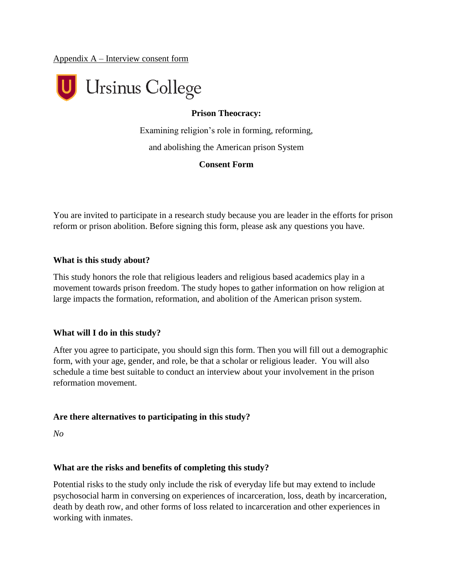Appendix A – Interview consent form



# **Prison Theocracy:**

Examining religion's role in forming, reforming, and abolishing the American prison System

#### **Consent Form**

You are invited to participate in a research study because you are leader in the efforts for prison reform or prison abolition. Before signing this form, please ask any questions you have.

#### **What is this study about?**

This study honors the role that religious leaders and religious based academics play in a movement towards prison freedom. The study hopes to gather information on how religion at large impacts the formation, reformation, and abolition of the American prison system.

## **What will I do in this study?**

After you agree to participate, you should sign this form. Then you will fill out a demographic form, with your age, gender, and role, be that a scholar or religious leader. You will also schedule a time best suitable to conduct an interview about your involvement in the prison reformation movement.

## **Are there alternatives to participating in this study?**

*No*

## **What are the risks and benefits of completing this study?**

Potential risks to the study only include the risk of everyday life but may extend to include psychosocial harm in conversing on experiences of incarceration, loss, death by incarceration, death by death row, and other forms of loss related to incarceration and other experiences in working with inmates.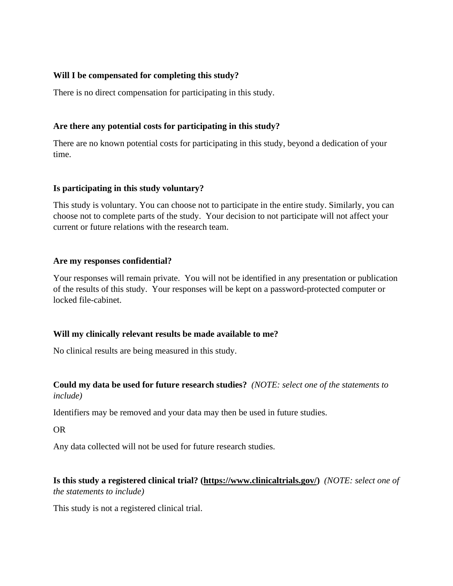# **Will I be compensated for completing this study?**

There is no direct compensation for participating in this study.

# **Are there any potential costs for participating in this study?**

There are no known potential costs for participating in this study, beyond a dedication of your time.

# **Is participating in this study voluntary?**

This study is voluntary. You can choose not to participate in the entire study. Similarly, you can choose not to complete parts of the study. Your decision to not participate will not affect your current or future relations with the research team.

# **Are my responses confidential?**

Your responses will remain private. You will not be identified in any presentation or publication of the results of this study. Your responses will be kept on a password-protected computer or locked file-cabinet.

# **Will my clinically relevant results be made available to me?**

No clinical results are being measured in this study.

# **Could my data be used for future research studies?** *(NOTE: select one of the statements to include)*

Identifiers may be removed and your data may then be used in future studies.

OR

Any data collected will not be used for future research studies.

# **Is this study a registered clinical trial? [\(https://www.clinicaltrials.gov/\)](https://www.clinicaltrials.gov/)** *(NOTE: select one of the statements to include)*

This study is not a registered clinical trial.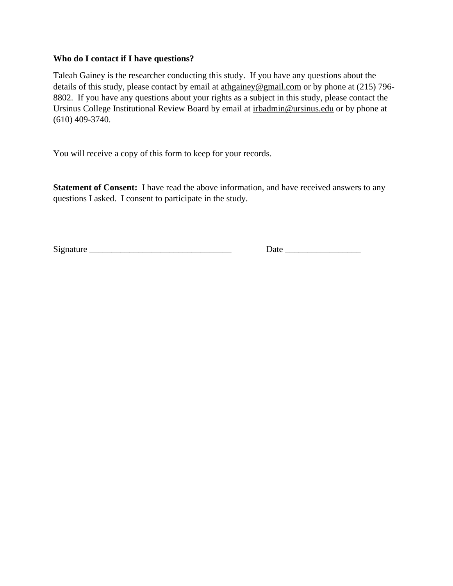# **Who do I contact if I have questions?**

Taleah Gainey is the researcher conducting this study. If you have any questions about the details of this study, please contact by email at [athgainey@gmail.com](mailto:athgainey@gmail.comu) or by phone at (215) 796- 8802. If you have any questions about your rights as a subject in this study, please contact the Ursinus College Institutional Review Board by email at [irbadmin@ursinus.edu](mailto:irbadmin@ursinus.edu) or by phone at (610) 409-3740.

You will receive a copy of this form to keep for your records.

**Statement of Consent:** I have read the above information, and have received answers to any questions I asked. I consent to participate in the study.

Signature \_\_\_\_\_\_\_\_\_\_\_\_\_\_\_\_\_\_\_\_\_\_\_\_\_\_\_\_\_\_\_\_ Date \_\_\_\_\_\_\_\_\_\_\_\_\_\_\_\_\_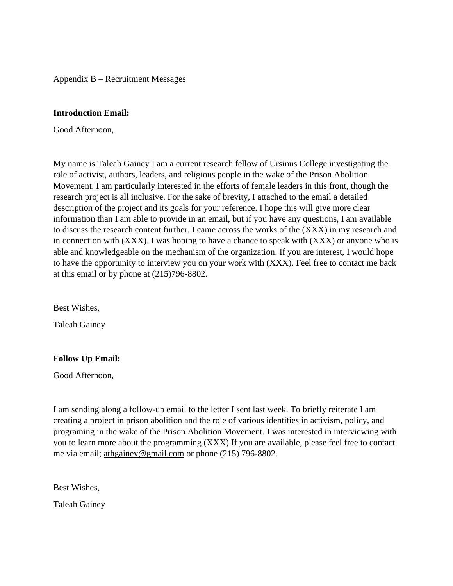Appendix B – Recruitment Messages

#### **Introduction Email:**

Good Afternoon,

My name is Taleah Gainey I am a current research fellow of Ursinus College investigating the role of activist, authors, leaders, and religious people in the wake of the Prison Abolition Movement. I am particularly interested in the efforts of female leaders in this front, though the research project is all inclusive. For the sake of brevity, I attached to the email a detailed description of the project and its goals for your reference. I hope this will give more clear information than I am able to provide in an email, but if you have any questions, I am available to discuss the research content further. I came across the works of the (XXX) in my research and in connection with (XXX). I was hoping to have a chance to speak with (XXX) or anyone who is able and knowledgeable on the mechanism of the organization. If you are interest, I would hope to have the opportunity to interview you on your work with (XXX). Feel free to contact me back at this email or by phone at (215)796-8802.

Best Wishes,

Taleah Gainey

## **Follow Up Email:**

Good Afternoon,

I am sending along a follow-up email to the letter I sent last week. To briefly reiterate I am creating a project in prison abolition and the role of various identities in activism, policy, and programing in the wake of the Prison Abolition Movement. I was interested in interviewing with you to learn more about the programming (XXX) If you are available, please feel free to contact me via email; [athgainey@gmail.com](mailto:athgainey@gmail.com) or phone (215) 796-8802.

Best Wishes,

Taleah Gainey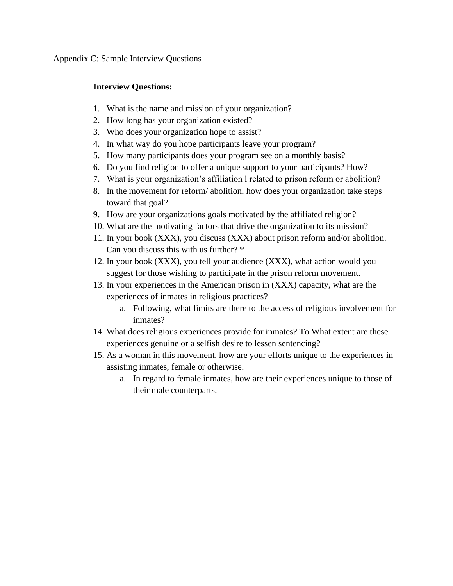Appendix C: Sample Interview Questions

# **Interview Questions:**

- 1. What is the name and mission of your organization?
- 2. How long has your organization existed?
- 3. Who does your organization hope to assist?
- 4. In what way do you hope participants leave your program?
- 5. How many participants does your program see on a monthly basis?
- 6. Do you find religion to offer a unique support to your participants? How?
- 7. What is your organization's affiliation l related to prison reform or abolition?
- 8. In the movement for reform/ abolition, how does your organization take steps toward that goal?
- 9. How are your organizations goals motivated by the affiliated religion?
- 10. What are the motivating factors that drive the organization to its mission?
- 11. In your book (XXX), you discuss (XXX) about prison reform and/or abolition. Can you discuss this with us further? \*
- 12. In your book (XXX), you tell your audience (XXX), what action would you suggest for those wishing to participate in the prison reform movement.
- 13. In your experiences in the American prison in (XXX) capacity, what are the experiences of inmates in religious practices?
	- a. Following, what limits are there to the access of religious involvement for inmates?
- 14. What does religious experiences provide for inmates? To What extent are these experiences genuine or a selfish desire to lessen sentencing?
- 15. As a woman in this movement, how are your efforts unique to the experiences in assisting inmates, female or otherwise.
	- a. In regard to female inmates, how are their experiences unique to those of their male counterparts.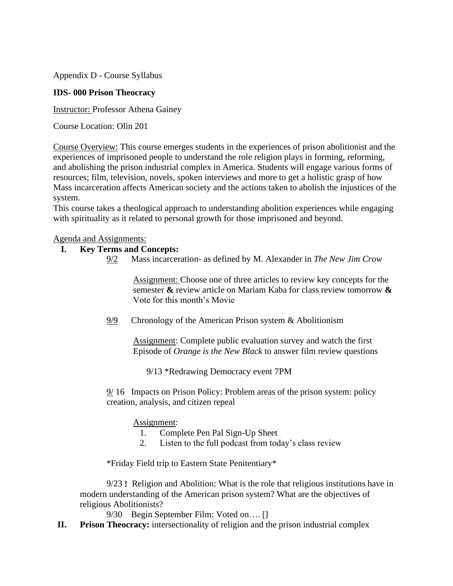Appendix D - Course Syllabus

# **IDS- 000 Prison Theocracy**

Instructor: Professor Athena Gainey

Course Location: Olin 201

Course Overview: This course emerges students in the experiences of prison abolitionist and the experiences of imprisoned people to understand the role religion plays in forming, reforming, and abolishing the prison industrial complex in America. Students will engage various forms of resources; film, television, novels, spoken interviews and more to get a holistic grasp of how Mass incarceration affects American society and the actions taken to abolish the injustices of the system.

This course takes a theological approach to understanding abolition experiences while engaging with spirituality as it related to personal growth for those imprisoned and beyond.

# Agenda and Assignments:

# **I. Key Terms and Concepts:**

9/2 Mass incarceration- as defined by M. Alexander in *The New Jim Crow*

Assignment: Choose one of three articles to review key concepts for the semester **&** review article on Mariam Kaba for class review tomorrow **&**  Vote for this month's Movie

9/9 Chronology of the American Prison system & Abolitionism

Assignment: Complete public evaluation survey and watch the first Episode of *Orange is the New Black* to answer film review questions

9/13 \*Redrawing Democracy event 7PM

9/ 16 Impacts on Prison Policy: Problem areas of the prison system: policy creation, analysis, and citizen repeal

## Assignment:

- 1. Complete Pen Pal Sign-Up Sheet
- 2. Listen to the full podcast from today's class review

\*Friday Field trip to Eastern State Penitentiary\*

9/23 **!** Religion and Abolition: What is the role that religious institutions have in modern understanding of the American prison system? What are the objectives of religious Abolitionists?

9/30 Begin September Film: Voted on…. []

**II. Prison Theocracy:** intersectionality of religion and the prison industrial complex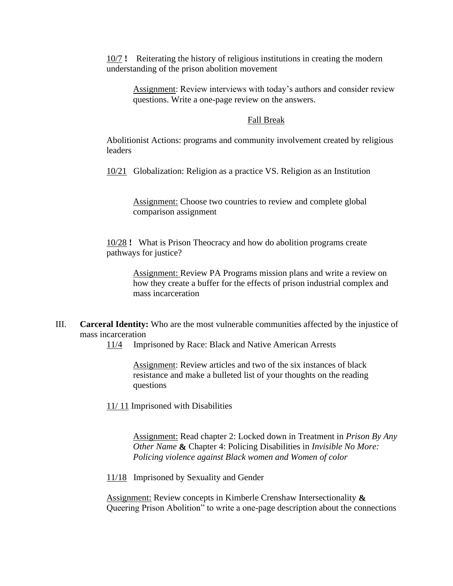10/7 **!** Reiterating the history of religious institutions in creating the modern understanding of the prison abolition movement

Assignment: Review interviews with today's authors and consider review questions. Write a one-page review on the answers.

#### Fall Break

Abolitionist Actions: programs and community involvement created by religious leaders

10/21 Globalization: Religion as a practice VS. Religion as an Institution

Assignment: Choose two countries to review and complete global comparison assignment

10/28 **!** What is Prison Theocracy and how do abolition programs create pathways for justice?

> Assignment: Review PA Programs mission plans and write a review on how they create a buffer for the effects of prison industrial complex and mass incarceration

III. **Carceral Identity:** Who are the most vulnerable communities affected by the injustice of mass incarceration

11/4 Imprisoned by Race: Black and Native American Arrests

Assignment: Review articles and two of the six instances of black resistance and make a bulleted list of your thoughts on the reading questions

11/11 Imprisoned with Disabilities

Assignment: Read chapter 2: Locked down in Treatment in *Prison By Any Other Name* **&** Chapter 4: Policing Disabilities in *Invisible No More: Policing violence against Black women and Women of color*

11/18 Imprisoned by Sexuality and Gender

Assignment: Review concepts in Kimberle Crenshaw Intersectionality **&** Queering Prison Abolition" to write a one-page description about the connections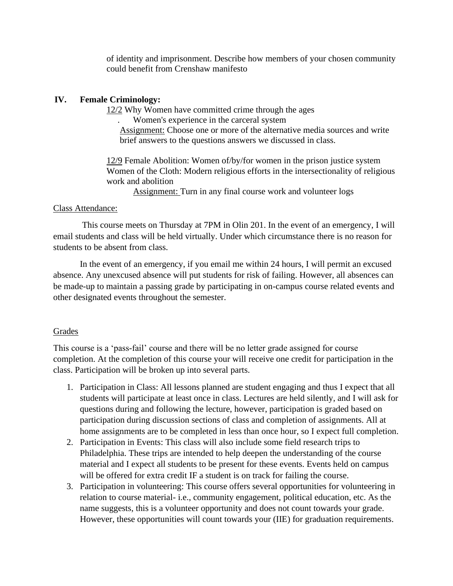of identity and imprisonment. Describe how members of your chosen community could benefit from Crenshaw manifesto

# **IV. Female Criminology:**

12/2 Why Women have committed crime through the ages

. Women's experience in the carceral system

Assignment: Choose one or more of the alternative media sources and write brief answers to the questions answers we discussed in class.

12/9 Female Abolition: Women of/by/for women in the prison justice system Women of the Cloth: Modern religious efforts in the intersectionality of religious work and abolition

Assignment: Turn in any final course work and volunteer logs

# Class Attendance:

This course meets on Thursday at 7PM in Olin 201. In the event of an emergency, I will email students and class will be held virtually. Under which circumstance there is no reason for students to be absent from class.

In the event of an emergency, if you email me within 24 hours, I will permit an excused absence. Any unexcused absence will put students for risk of failing. However, all absences can be made-up to maintain a passing grade by participating in on-campus course related events and other designated events throughout the semester.

# Grades

This course is a 'pass-fail' course and there will be no letter grade assigned for course completion. At the completion of this course your will receive one credit for participation in the class. Participation will be broken up into several parts.

- 1. Participation in Class: All lessons planned are student engaging and thus I expect that all students will participate at least once in class. Lectures are held silently, and I will ask for questions during and following the lecture, however, participation is graded based on participation during discussion sections of class and completion of assignments. All at home assignments are to be completed in less than once hour, so I expect full completion.
- 2. Participation in Events: This class will also include some field research trips to Philadelphia. These trips are intended to help deepen the understanding of the course material and I expect all students to be present for these events. Events held on campus will be offered for extra credit IF a student is on track for failing the course.
- 3. Participation in volunteering: This course offers several opportunities for volunteering in relation to course material- i.e., community engagement, political education, etc. As the name suggests, this is a volunteer opportunity and does not count towards your grade. However, these opportunities will count towards your (IIE) for graduation requirements.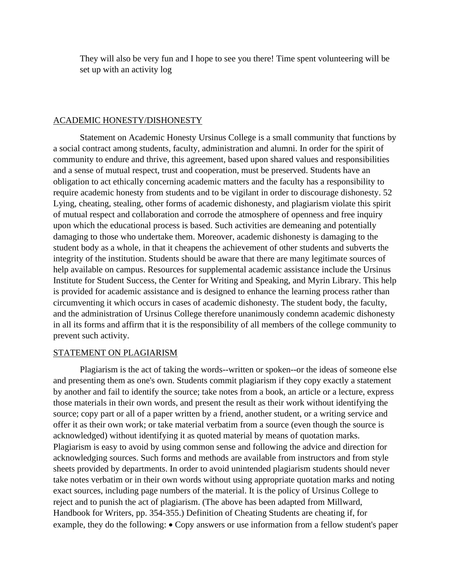They will also be very fun and I hope to see you there! Time spent volunteering will be set up with an activity log

#### ACADEMIC HONESTY/DISHONESTY

Statement on Academic Honesty Ursinus College is a small community that functions by a social contract among students, faculty, administration and alumni. In order for the spirit of community to endure and thrive, this agreement, based upon shared values and responsibilities and a sense of mutual respect, trust and cooperation, must be preserved. Students have an obligation to act ethically concerning academic matters and the faculty has a responsibility to require academic honesty from students and to be vigilant in order to discourage dishonesty. 52 Lying, cheating, stealing, other forms of academic dishonesty, and plagiarism violate this spirit of mutual respect and collaboration and corrode the atmosphere of openness and free inquiry upon which the educational process is based. Such activities are demeaning and potentially damaging to those who undertake them. Moreover, academic dishonesty is damaging to the student body as a whole, in that it cheapens the achievement of other students and subverts the integrity of the institution. Students should be aware that there are many legitimate sources of help available on campus. Resources for supplemental academic assistance include the Ursinus Institute for Student Success, the Center for Writing and Speaking, and Myrin Library. This help is provided for academic assistance and is designed to enhance the learning process rather than circumventing it which occurs in cases of academic dishonesty. The student body, the faculty, and the administration of Ursinus College therefore unanimously condemn academic dishonesty in all its forms and affirm that it is the responsibility of all members of the college community to prevent such activity.

#### STATEMENT ON PLAGIARISM

Plagiarism is the act of taking the words--written or spoken--or the ideas of someone else and presenting them as one's own. Students commit plagiarism if they copy exactly a statement by another and fail to identify the source; take notes from a book, an article or a lecture, express those materials in their own words, and present the result as their work without identifying the source; copy part or all of a paper written by a friend, another student, or a writing service and offer it as their own work; or take material verbatim from a source (even though the source is acknowledged) without identifying it as quoted material by means of quotation marks. Plagiarism is easy to avoid by using common sense and following the advice and direction for acknowledging sources. Such forms and methods are available from instructors and from style sheets provided by departments. In order to avoid unintended plagiarism students should never take notes verbatim or in their own words without using appropriate quotation marks and noting exact sources, including page numbers of the material. It is the policy of Ursinus College to reject and to punish the act of plagiarism. (The above has been adapted from Millward, Handbook for Writers, pp. 354-355.) Definition of Cheating Students are cheating if, for example, they do the following: • Copy answers or use information from a fellow student's paper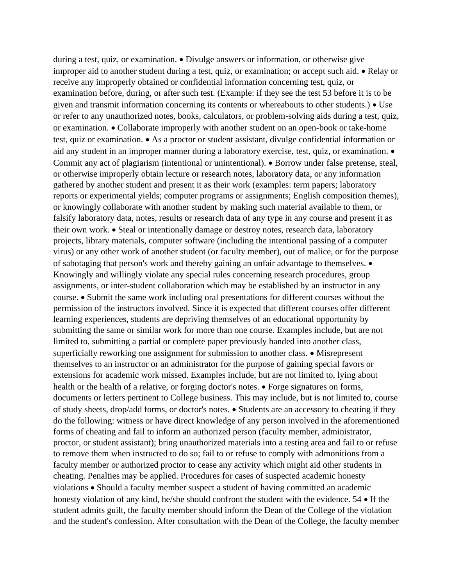during a test, quiz, or examination. • Divulge answers or information, or otherwise give improper aid to another student during a test, quiz, or examination; or accept such aid. • Relay or receive any improperly obtained or confidential information concerning test, quiz, or examination before, during, or after such test. (Example: if they see the test 53 before it is to be given and transmit information concerning its contents or whereabouts to other students.) • Use or refer to any unauthorized notes, books, calculators, or problem-solving aids during a test, quiz, or examination. • Collaborate improperly with another student on an open-book or take-home test, quiz or examination. • As a proctor or student assistant, divulge confidential information or aid any student in an improper manner during a laboratory exercise, test, quiz, or examination. • Commit any act of plagiarism (intentional or unintentional). • Borrow under false pretense, steal, or otherwise improperly obtain lecture or research notes, laboratory data, or any information gathered by another student and present it as their work (examples: term papers; laboratory reports or experimental yields; computer programs or assignments; English composition themes), or knowingly collaborate with another student by making such material available to them, or falsify laboratory data, notes, results or research data of any type in any course and present it as their own work. • Steal or intentionally damage or destroy notes, research data, laboratory projects, library materials, computer software (including the intentional passing of a computer virus) or any other work of another student (or faculty member), out of malice, or for the purpose of sabotaging that person's work and thereby gaining an unfair advantage to themselves. • Knowingly and willingly violate any special rules concerning research procedures, group assignments, or inter-student collaboration which may be established by an instructor in any course. • Submit the same work including oral presentations for different courses without the permission of the instructors involved. Since it is expected that different courses offer different learning experiences, students are depriving themselves of an educational opportunity by submitting the same or similar work for more than one course. Examples include, but are not limited to, submitting a partial or complete paper previously handed into another class, superficially reworking one assignment for submission to another class. • Misrepresent themselves to an instructor or an administrator for the purpose of gaining special favors or extensions for academic work missed. Examples include, but are not limited to, lying about health or the health of a relative, or forging doctor's notes. • Forge signatures on forms, documents or letters pertinent to College business. This may include, but is not limited to, course of study sheets, drop/add forms, or doctor's notes. • Students are an accessory to cheating if they do the following: witness or have direct knowledge of any person involved in the aforementioned forms of cheating and fail to inform an authorized person (faculty member, administrator, proctor, or student assistant); bring unauthorized materials into a testing area and fail to or refuse to remove them when instructed to do so; fail to or refuse to comply with admonitions from a faculty member or authorized proctor to cease any activity which might aid other students in cheating. Penalties may be applied. Procedures for cases of suspected academic honesty violations • Should a faculty member suspect a student of having committed an academic honesty violation of any kind, he/she should confront the student with the evidence. 54 • If the student admits guilt, the faculty member should inform the Dean of the College of the violation and the student's confession. After consultation with the Dean of the College, the faculty member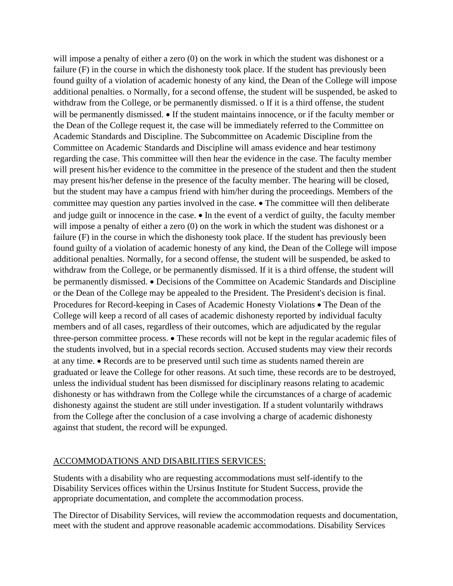will impose a penalty of either a zero (0) on the work in which the student was dishonest or a failure (F) in the course in which the dishonesty took place. If the student has previously been found guilty of a violation of academic honesty of any kind, the Dean of the College will impose additional penalties. o Normally, for a second offense, the student will be suspended, be asked to withdraw from the College, or be permanently dismissed. o If it is a third offense, the student will be permanently dismissed. • If the student maintains innocence, or if the faculty member or the Dean of the College request it, the case will be immediately referred to the Committee on Academic Standards and Discipline. The Subcommittee on Academic Discipline from the Committee on Academic Standards and Discipline will amass evidence and hear testimony regarding the case. This committee will then hear the evidence in the case. The faculty member will present his/her evidence to the committee in the presence of the student and then the student may present his/her defense in the presence of the faculty member. The hearing will be closed, but the student may have a campus friend with him/her during the proceedings. Members of the committee may question any parties involved in the case. • The committee will then deliberate and judge guilt or innocence in the case. • In the event of a verdict of guilty, the faculty member will impose a penalty of either a zero (0) on the work in which the student was dishonest or a failure (F) in the course in which the dishonesty took place. If the student has previously been found guilty of a violation of academic honesty of any kind, the Dean of the College will impose additional penalties. Normally, for a second offense, the student will be suspended, be asked to withdraw from the College, or be permanently dismissed. If it is a third offense, the student will be permanently dismissed. • Decisions of the Committee on Academic Standards and Discipline or the Dean of the College may be appealed to the President. The President's decision is final. Procedures for Record-keeping in Cases of Academic Honesty Violations • The Dean of the College will keep a record of all cases of academic dishonesty reported by individual faculty members and of all cases, regardless of their outcomes, which are adjudicated by the regular three-person committee process. • These records will not be kept in the regular academic files of the students involved, but in a special records section. Accused students may view their records at any time. • Records are to be preserved until such time as students named therein are graduated or leave the College for other reasons. At such time, these records are to be destroyed, unless the individual student has been dismissed for disciplinary reasons relating to academic dishonesty or has withdrawn from the College while the circumstances of a charge of academic dishonesty against the student are still under investigation. If a student voluntarily withdraws from the College after the conclusion of a case involving a charge of academic dishonesty against that student, the record will be expunged.

## ACCOMMODATIONS AND DISABILITIES SERVICES:

Students with a disability who are requesting accommodations must self-identify to the Disability Services offices within the Ursinus Institute for Student Success, provide the appropriate documentation, and complete the accommodation process.

The Director of Disability Services, will review the accommodation requests and documentation, meet with the student and approve reasonable academic accommodations. Disability Services